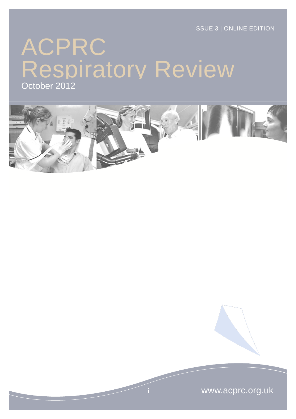ISSUE 3 | ONLINE EDITION

# ACPRC October 2012 Respiratory Review



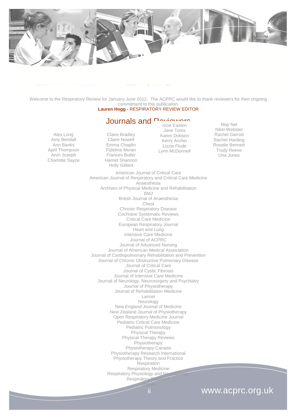

Welcome to the Respiratory Review for January-June 2012. The ACPRC would like to thank reviewers for their ongoing commitment to this publication. **Lauren Hogg -** RESPIRATORY REVIEW EDITOR

EDITORIAL

Journals and **Benderman** 

Alex Long Amy Bendall Ann Banks April Thompson Arun Joseph Charlotte Sayce

Claire Bradley Claire Nowell Emma Chaplin Fidelma Moran Frances Butler Harriet Shannon Holly Gilbert

Izzie Easton Jane Toms Karen Dobson Kerry Archer Lizzie Flude Lynn McDonnell

May Nel Nikki Webster Rachel Garrod Rachel Harding Rosalie Bennett Trudy Reeve Una Jones

American Journal of Critical Care American Journal of Respiratory and Critical Care Medicine Anaesthesia Archives of Physical Medicine and Rehabilitation BMJ British Journal of Anaesthesia Chest Chronic Respiratory Disease Cochrane Systematic Reviews Critical Care Medicine European Respiratory Journal Heart and Lung Intensive Care Medicine Journal of ACPRC Journal of Advanced Nursing Journal of American Medical Association Journal of Cardiopulmonary Rehabilitation and Prevention Journal of Chronic Obstructive Pulmonary Disease Journal of Critical Care Journal of Cystic Fibrosis Journal of Intensive Care Medicine Journal of Neurology, Neurosurgery and Psychiatry Journal of Physiotherapy Journal of Rehabilitation Medicine Lancet Neurology New England Journal of Medicine New Zealand Journal of Physiotherapy Open Respiratory Medicine Journal Pediatric Critical Care Medicine Pediatric Pulmonology Physical Therapy Physical Therapy Reviews **Physiotherapy** Physiotherapy Canada Physiotherapy Research International Physiotherapy Theory and Practice **Respiration** Respiratory Medicine Respiratory Physiology and Neu Respiratory **R** 

### ii www.acprc.org.uk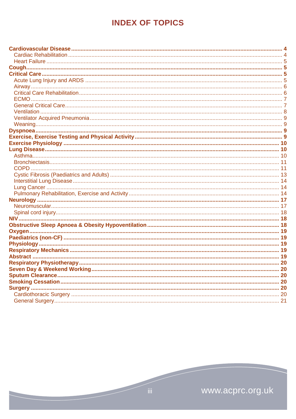## **INDEX OF TOPICS**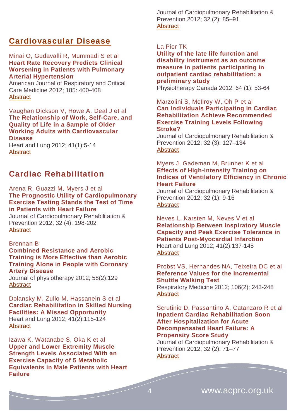Journal of Cardiopulmonary Rehabilitation & Prevention 2012; 32 (2): 85–91 **[Abstract](http://journals.lww.com/jcrjournal/Abstract/2012/03000/Upper_and_Lower_Extremity_Muscle_Strength_Levels.4.aspx)** 

### <span id="page-3-0"></span>**Cardiovascular Disease**

#### Minai O, Gudavalli R, Mummadi S et al **Heart Rate Recovery Predicts Clinical Worsening in Patients with Pulmonary Arterial Hypertension**

American Journal of Respiratory and Critical Care Medicine 2012; 185: 400-408 [Abstract](http://ajrccm.atsjournals.org/content/185/4/400.abstract)

Vaughan Dickson V, Howe A, Deal J et al **[The Relationship of Work, Self-Care, and](http://www.heartandlung.org/article/S0147-9563(11)00483-3/abstract)  [Quality of Life in a Sample of Older](http://www.heartandlung.org/article/S0147-9563(11)00483-3/abstract)  [Working Adults with Cardiovascular](http://www.heartandlung.org/article/S0147-9563(11)00483-3/abstract)  [Disease](http://www.heartandlung.org/article/S0147-9563(11)00483-3/abstract)**  Heart and Lung 2012; 41(1):5-14

**[Abstract](http://www.heartandlung.org/article/S0147-9563(11)00483-3/abstract)** 

### <span id="page-3-1"></span>**Cardiac Rehabilitation**

#### Arena R, Guazzi M, Myers J et al **The Prognostic Utility of Cardiopulmonary Exercise Testing Stands the Test of Time in Patients with Heart Failure**

Journal of Cardiopulmonary Rehabilitation & Prevention 2012; 32 (4): 198-202 [Abstract](http://journals.lww.com/jcrjournal/Fulltext/2012/07000/The_Prognostic_Utility_of_Cardiopulmonary_Exercise.5.aspx)

#### Brennan B

#### **Combined Resistance and Aerobic Training is More Effective than Aerobic Training Alone in People with Coronary Artery Disease**

Journal of physiotherapy 2012; 58(2):129 **[Abstract](http://www.ncbi.nlm.nih.gov/pubmed/22613245)** 

#### Dolansky M, Zullo M, Hassanein S et al **[Cardiac Rehabilitation in Skilled Nursing](http://www.heartandlung.org/article/S0147-9563(11)00471-7/abstract)  [Facilities: A Missed Opportunity](http://www.heartandlung.org/article/S0147-9563(11)00471-7/abstract)**  Heart and Lung 2012; 41(2):115-124 [Abstract](http://www.heartandlung.org/article/S0147-9563(11)00471-7/abstract)

Izawa K, Watanabe S, Oka K et al **Upper and Lower Extremity Muscle Strength Levels Associated With an Exercise Capacity of 5 Metabolic Equivalents in Male Patients with Heart Failure**

#### La Pier TK

**Utility of the late life function and disability instrument as an outcome measure in patients participating in outpatient cardiac rehabilitation: a preliminary study**

Physiotherapy Canada 2012; 64 (1): 53-64

#### Marzolini S, McIlroy W, Oh P et al **Can Individuals Participating in Cardiac Rehabilitation Achieve Recommended Exercise Training Levels Following Stroke?**

Journal of Cardiopulmonary Rehabilitation & Prevention 2012; 32 (3): 127–134 **[Abstract](http://journals.lww.com/jcrjournal/Abstract/2012/05000/Can_Individuals_Participating_in_Cardiac.2.aspx)** 

#### Myers J, Gademan M, Brunner K et al **Effects of High-Intensity Training on Indices of Ventilatory Efficiency in Chronic Heart Failure**

Journal of Cardiopulmonary Rehabilitation & Prevention 2012; 32 (1): 9-16 **[Abstract](http://journals.lww.com/jcrjournal/Abstract/2012/01000/Effects_of_High_Intensity_Training_on_Indices_of.2.aspx)** 

#### Neves L, Karsten M, Neves V et al **[Relationship Between Inspiratory Muscle](http://www.heartandlung.org/article/S0147-9563(11)00373-6/abstract)  [Capacity and Peak Exercise Tolerance in](http://www.heartandlung.org/article/S0147-9563(11)00373-6/abstract)  [Patients Post-Myocardial Infarction](http://www.heartandlung.org/article/S0147-9563(11)00373-6/abstract)**  Heart and Lung 2012; 41(2):137-145 [Abstract](http://www.heartandlung.org/article/S0147-9563(11)00373-6/abstract)

Probst VS, Hernandes NA, Teixeira DC et al **Reference Values for the Incremental Shuttle Walking Test** Respiratory Medicine 2012; 106(2): 243-248 **[Abstract](http://www.resmedjournal.com/article/S0954-6111(11)00259-9/abstract)** 

#### Scrutinio D, Passantino A, Catanzaro R et al **Inpatient Cardiac Rehabilitation Soon After Hospitalization for Acute Decompensated Heart Failure: A Propensity Score Study**

Journal of Cardiopulmonary Rehabilitation & Prevention 2012; 32 (2): 71–77 [Abstract](http://journals.lww.com/jcrjournal/Abstract/2012/03000/Inpatient_Cardiac_Rehabilitation_Soon_After.2.aspx)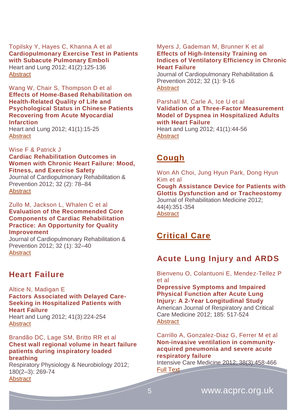Topilsky Y, Hayes C, Khanna A et al **[Cardiopulmonary Exercise Test in Patients](http://www.heartandlung.org/article/S0147-9563(11)00362-1/abstract)  [with Subacute Pulmonary Emboli](http://www.heartandlung.org/article/S0147-9563(11)00362-1/abstract)**  Heart and Lung 2012; 41(2):125-136 **[Abstract](http://www.heartandlung.org/article/S0147-9563(11)00362-1/abstract)** 

Wang W, Chair S, Thompson D et al **[Effects of Home-Based Rehabilitation on](http://www.heartandlung.org/article/S0147-9563(11)00274-3/abstract)  [Health-Related Quality of Life and](http://www.heartandlung.org/article/S0147-9563(11)00274-3/abstract)  [Psychological Status in Chinese Patients](http://www.heartandlung.org/article/S0147-9563(11)00274-3/abstract)  [Recovering from Acute Myocardial](http://www.heartandlung.org/article/S0147-9563(11)00274-3/abstract)  [Infarction](http://www.heartandlung.org/article/S0147-9563(11)00274-3/abstract)**  Heart and Lung 2012; 41(1):15-25 [Abstract](http://www.heartandlung.org/article/S0147-9563(11)00274-3/abstract)

Wise F & Patrick J **Cardiac Rehabilitation Outcomes in Women with Chronic Heart Failure: Mood, Fitness, and Exercise Safety**

Journal of Cardiopulmonary Rehabilitation & Prevention 2012; 32 (2): 78–84 [Abstract](http://journals.lww.com/jcrjournal/Abstract/2012/03000/Cardiac_Rehabilitation_Outcomes_in_Women_With.3.aspx)

Zullo M, Jackson L, Whalen C et al **Evaluation of the Recommended Core Components of Cardiac Rehabilitation Practice: An Opportunity for Quality Improvement**

Journal of Cardiopulmonary Rehabilitation & Prevention 2012; 32 (1): 32–40 [Abstract](http://journals.lww.com/jcrjournal/Abstract/2012/01000/Evaluation_of_the_Recommended_Core_Components_of.5.aspx)

### <span id="page-4-0"></span>**Heart Failure**

Altice N, Madigan E **[Factors Associated with Delayed Care-](http://www.heartandlung.org/article/S0147-9563(11)00478-X/abstract)[Seeking in Hospitalized Patients with](http://www.heartandlung.org/article/S0147-9563(11)00478-X/abstract)  [Heart Failure](http://www.heartandlung.org/article/S0147-9563(11)00478-X/abstract)** Heart and Lung 2012; 41(3):224-254 **[Abstract](http://www.heartandlung.org/article/S0147-9563(11)00478-X/abstract)** 

Brandão DC, Lage SM, Britto RR et al **Chest wall regional volume in heart failure patients during inspiratory loaded breathing**

Respiratory Physiology & Neurobiology 2012; 180(2–3): 269-74 **[Abstract](http://ac.els-cdn.com/S1569904811004095/1-s2.0-S1569904811004095-main.pdf?_tid=a254086af2510cc131a2fdd039665c8d&acdnat=1343211118_36ad492a6a8679573ffca7c9c7aec487)** 

#### Myers J, Gademan M, Brunner K et al **Effects of High-Intensity Training on Indices of Ventilatory Efficiency in Chronic Heart Failure**

Journal of Cardiopulmonary Rehabilitation & Prevention 2012; 32 (1): 9-16 [Abstract](http://journals.lww.com/jcrjournal/Abstract/2012/01000/Effects_of_High_Intensity_Training_on_Indices_of.2.aspx)

Parshall M, Carle A, Ice U et al **[Validation of a Three-Factor Measurement](http://www.heartandlung.org/article/S0147-9563(11)00272-X/abstract)  [Model of Dyspnea in Hospitalized Adults](http://www.heartandlung.org/article/S0147-9563(11)00272-X/abstract)  [with Heart Failure](http://www.heartandlung.org/article/S0147-9563(11)00272-X/abstract)** 

Heart and Lung 2012; 41(1):44-56 [Abstract](http://www.heartandlung.org/article/S0147-9563(11)00272-X/abstract)

### <span id="page-4-1"></span>**Cough**

Won Ah Choi, Jung Hyun Park, Dong Hyun Kim et al

**Cough Assistance Device for Patients with Glottis Dysfunction and or Tracheostomy**

Journal of Rehabilitation Medicine 2012; 44(4):351-354 **[Abstract](http://www.ncbi.nlm.nih.gov/sites/entrez?cmd=search&db=pubmed&term=10.2340/16501977-0948&dispmax=50)** 

### <span id="page-4-2"></span>**Critical Care**

### <span id="page-4-3"></span>**Acute Lung Injury and ARDS**

Bienvenu O, Colantuoni E, Mendez-Tellez P et al

**Depressive Symptoms and Impaired Physical Function after Acute Lung Injury: A 2-Year Longitudinal Study** American Journal of Respiratory and Critical Care Medicine 2012; 185: 517-524

**[Abstract](http://ajrccm.atsjournals.org/content/185/5/517.abstract)** 

Carrillo A, Gonzalez-Diaz G, Ferrer M et al **[Non-invasive ventilation in community](http://icmjournal.esicm.org/journal/134/38/3/2475_10.1007_s00134-012-2475-6/2012/Non-invasive_ventilation_in_community-acquired_pne.html)[acquired pneumonia and severe acute](http://icmjournal.esicm.org/journal/134/38/3/2475_10.1007_s00134-012-2475-6/2012/Non-invasive_ventilation_in_community-acquired_pne.html)  [respiratory failure](http://icmjournal.esicm.org/journal/134/38/3/2475_10.1007_s00134-012-2475-6/2012/Non-invasive_ventilation_in_community-acquired_pne.html)**

Intensive Care Medicine 2012; 38(3):458-466 [Full Text](http://www.springerlink.com/content/7l507560350100mx/fulltext.pdf)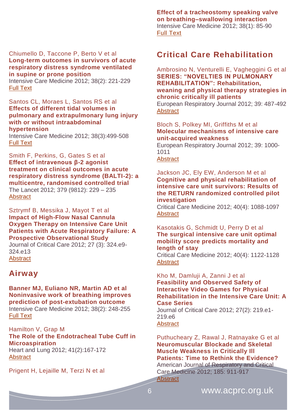Chiumello D, Taccone P, Berto V et al **Long-term outcomes in survivors of acute respiratory distress syndrome ventilated in supine or prone position**

Intensive Care Medicine 2012; 38(2): 221-229 [Full Text](http://www.springerlink.com/content/l62ln84588116204/fulltext.pdf)

#### Santos CL, Moraes L, Santos RS et al **[Effects of different tidal volumes in](http://icmjournal.esicm.org/journal/134/38/3/2451_10.1007_s00134-011-2451-6/2011/Effects_of_different_tidal_volumes_in_pulmonary_an.html)  [pulmonary and extrapulmonary lung injury](http://icmjournal.esicm.org/journal/134/38/3/2451_10.1007_s00134-011-2451-6/2011/Effects_of_different_tidal_volumes_in_pulmonary_an.html)  [with or without intraabdominal](http://icmjournal.esicm.org/journal/134/38/3/2451_10.1007_s00134-011-2451-6/2011/Effects_of_different_tidal_volumes_in_pulmonary_an.html)  [hypertension](http://icmjournal.esicm.org/journal/134/38/3/2451_10.1007_s00134-011-2451-6/2011/Effects_of_different_tidal_volumes_in_pulmonary_an.html)**

Intensive Care Medicine 2012; 38(3):499-508 [Full Text](http://www.springerlink.com/content/55514182p8438upv/fulltext.pdf)

[Smith](http://www.thelancet.com/search/results?fieldName=Authors&searchTerm=Fang%20Gao+Smith) F, [Perkins,](http://www.thelancet.com/search/results?fieldName=Authors&searchTerm=Gavin%20D+Perkins) G, [Gates](http://www.thelancet.com/search/results?fieldName=Authors&searchTerm=Simon+Gates) S et al **Effect of intravenous β-2 agonist treatment on clinical outcomes in acute respiratory distress syndrome (BALTI-2): a multicentre, randomised controlled trial** The Lancet 2012; [379 \(9812\)](http://www.thelancet.com/journals/lancet/issue/vol379no9812/PIIS0140-6736(12)X6003-3): 229 – 235 **[Abstract](http://www.thelancet.com/journals/lancet/article/PIIS0140-6736(11)61623-1/fulltext)** 

[Sztrymf](http://www.jccjournal.org/article/S0883-9441(11)00368-6/abstract) B, Messika J, Mayot T et al **Impact of High-Flow Nasal Cannula Oxygen Therapy on Intensive Care Unit Patients with Acute Respiratory Failure: A Prospective Observational Study**

Journal of Critical Care 2012; 27 (3): 324.e9- 324.e13 **[Abstract](http://www.jccjournal.org/article/S0883-9441(11)00368-6/abstract)** 

### <span id="page-5-0"></span>**Airway**

**Banner MJ, Euliano NR, Martin AD et al [Noninvasive work of breathing improves](http://icmjournal.esicm.org/journal/134/38/2/2402_10.1007_s00134-011-2402-2/2011/Noninvasive_work_of_breathing_improves_prediction_.html)  [prediction of post-extubation outcome](http://icmjournal.esicm.org/journal/134/38/2/2402_10.1007_s00134-011-2402-2/2011/Noninvasive_work_of_breathing_improves_prediction_.html)** Intensive Care Medicine 2012; 38(2): 248-255 [Full Text](http://www.springerlink.com/content/4t51555193u37606/fulltext.pdf)

Hamilton V, Grap M **[The Role of the Endotracheal Tube Cuff in](http://www.heartandlung.org/article/S0147-9563(11)00472-9/abstract)  [Microaspiration](http://www.heartandlung.org/article/S0147-9563(11)00472-9/abstract)**  Heart and Lung 2012; 41(2):167-172 **[Abstract](http://www.heartandlung.org/article/S0147-9563(11)00472-9/abstract)** 

Prigent H, Lejaille M, Terzi N et al

**Effect of a tracheostomy speaking valve on breathing–swallowing interaction** Intensive Care Medicine 2012; 38(1): 85-90 [Full Text](http://www.springerlink.com/content/r428126807r21612/fulltext.pdf)

### <span id="page-5-1"></span>**Critical Care Rehabilitation**

Ambrosino N, Venturelli E, Vagheggini G et al **SERIES: "NOVELTIES IN PULMONARY REHABILITATION‖: Rehabilitation, weaning and physical therapy strategies in chronic critically ill patients** 

European Respiratory Journal 2012; 39: 487-492 **[Abstract](http://erj.ersjournals.com/content/39/2/487.abstract)** 

#### Bloch S, Polkey MI, Griffiths M et al **Molecular mechanisms of intensive care unit-acquired weakness**

European Respiratory Journal 2012; 39: 1000- 1011

#### **[Abstract](http://erj.ersjournals.com/content/39/4/1000.abstract)**

#### Jackson JC, Ely EW, Anderson M et al **Cognitive and physical rehabilitation of intensive care unit survivors: Results of the RETURN randomized controlled pilot investigation**

Critical Care Medicine 2012; 40(4): 1088-1097 **[Abstract](http://journals.lww.com/ccmjournal/Abstract/2012/04000/Cognitive_and_physical_rehabilitation_of_intensive.6.aspx)** 

#### Kasotakis G, Schmidt U, Perry D et al **The surgical intensive care unit optimal mobility score predicts mortality and length of stay**

Critical Care Medicine 2012; 40(4): 1122-1128 **[Abstract](http://journals.lww.com/ccmjournal/Abstract/2012/04000/The_surgical_intensive_care_unit_optimal_mobility.10.aspx)** 

#### [Kho](http://www.jccjournal.org/article/S0883-9441(11)00393-5/abstract) M, [Damluji](http://www.jccjournal.org/article/S0883-9441(11)00393-5/abstract) A, [Zanni](http://www.jccjournal.org/article/S0883-9441(11)00393-5/abstract) J et al **Feasibility and Observed Safety of Interactive Video Games for Physical Rehabilitation in the Intensive Care Unit: A Case Series**

Journal of Critical Care 2012; 27(2): 219.e1- 219.e6 [Abstract](http://www.jccjournal.org/article/S0883-9441(11)00393-5/abstract)

Puthucheary Z, Rawal J, Ratnayake G et al **Neuromuscular Blockade and Skeletal Muscle Weakness in Critically Ill Patients: Time to Rethink the Evidence?**  American Journal of Respiratory and Critical Care Medicine 2012; 185: 911-917 **[Abstract](http://ajrccm.atsjournals.org/content/185/9/911.abstract)**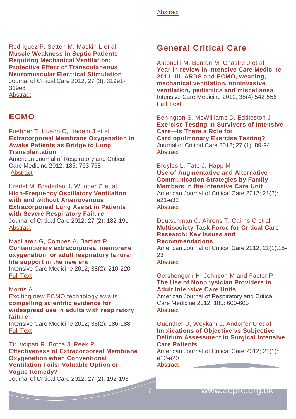Rodriguez P, Setten M, Maskin L et al **Muscle Weakness in Septic Patients Requiring Mechanical Ventilation: Protective Effect of Transcutaneous Neuromuscular Electrical Stimulation**

Journal of Critical Care 2012; 27 (3): 319e1- 319e8 [Abstract](http://www.jccjournal.org/article/S0883-9441(11)00202-4/abstract)

### <span id="page-6-0"></span>**ECMO**

Fuehner T, Kuehn C, Hadem J et al **Extracorporeal Membrane Oxygenation in Awake Patients as Bridge to Lung Transplantation**

American Journal of Respiratory and Critical Care Medicine 2012; 185: 763-768 [Abstract](http://ajrccm.atsjournals.org/content/185/7/763.abstract)

[Kredel](http://www.jccjournal.org/article/S0883-9441(11)00383-2/abstract) M, [Brederlau](http://www.jccjournal.org/article/S0883-9441(11)00383-2/abstract) J, [Wunder](http://www.jccjournal.org/article/S0883-9441(11)00383-2/abstract) C et al **High-Frequency Oscillatory Ventilation with and without Arteriovenous Extracorporeal Lung Assist in Patients with Severe Respiratory Failure** Journal of Critical Care 2012; 27 (2): 182-191 **[Abstract](http://www.jccjournal.org/article/S0883-9441(11)00383-2/abstract)** 

MacLaren G, Combes A, Bartlett R **Contemporary extracorporeal membrane oxygenation for adult respiratory failure: life support in the new era**

Intensive Care Medicine 2012; 38(2): 210-220 [Full Text](http://www.springerlink.com/content/e8w61600k24h3465/fulltext.pdf)

#### Morris A

#### Exciting new ECMO technology awaits **compelling scientific evidence for widespread use in adults with respiratory failure**

Intensive Care Medicine 2012; 38(2): 186-188 [Full Text](http://www.springerlink.com/content/n018124610878472/fulltext.pdf)

[Tiruvoipati](http://www.jccjournal.org/article/S0883-9441(11)00195-X/abstract) R, [Botha](http://www.jccjournal.org/article/S0883-9441(11)00195-X/abstract) J, [Peek](http://www.jccjournal.org/article/S0883-9441(11)00195-X/abstract) P **Effectiveness of Extracorporeal Membrane Oxygenation when Conventional Ventilation Fails: Valuable Option or Vague Remedy?** 

Journal of Critical Care 2012; 27 (2): 192-198

### <span id="page-6-1"></span>**General Critical Care**

Antonelli M, Bonten M, Chastre J et al **[Year in review in Intensive Care Medicine](http://icmjournal.esicm.org/journal/134/38/4/2508_10.1007_s00134-012-2508-1/2012/Year_in_review_in_Intensive_Care_Medicine_2011_II.html)  [2011: III. ARDS and ECMO, weaning,](http://icmjournal.esicm.org/journal/134/38/4/2508_10.1007_s00134-012-2508-1/2012/Year_in_review_in_Intensive_Care_Medicine_2011_II.html)  [mechanical ventilation, noninvasive](http://icmjournal.esicm.org/journal/134/38/4/2508_10.1007_s00134-012-2508-1/2012/Year_in_review_in_Intensive_Care_Medicine_2011_II.html)  [ventilation, pediatrics and miscellanea](http://icmjournal.esicm.org/journal/134/38/4/2508_10.1007_s00134-012-2508-1/2012/Year_in_review_in_Intensive_Care_Medicine_2011_II.html)** Intensive Care Medicine 2012; 38(4):542-556 [Full Text](http://www.springerlink.com/content/c739u64616l8gn67/fulltext.html)

[Benington](http://www.jccjournal.org/article/S0883-9441(11)00373-X/abstract) S, [McWilliams](http://www.jccjournal.org/article/S0883-9441(11)00373-X/abstract) D, [Eddleston](http://www.jccjournal.org/article/S0883-9441(11)00373-X/abstract) J **Exercise Testing in Survivors of Intensive Care—Is There a Role for Cardiopulmonary Exercise Testing?**  Journal of Critical Care 2012; 27 (1): 89-94 **[Abstract](http://www.jccjournal.org/article/S0883-9441(11)00373-X/abstract)** 

Broyles L, Tate J, Happ M **Use of Augmentative and Alternative Communication Strategies by Family Members in the Intensive Care Unit**  American Journal of Critical Care 2012; 21(2): e21-e32 **[Abstract](http://ajcc.aacnjournals.org/content/21/2/e21.abstract)** 

#### Deutschman C, Ahrens T, Cairns C et al **Multisociety Task Force for Critical Care Research: Key Issues and Recommendations**

American Journal of Critical Care 2012; 21(1):15- 23

#### **[Abstract](http://ajcc.aacnjournals.org/content/21/1/15.abstract)**

#### Gershengorn H, Johnson M and Factor P **The Use of Nonphysician Providers in Adult Intensive Care Units**

American Journal of Respiratory and Critical Care Medicine 2012; 185: 600-605 **[Abstract](http://ajrccm.atsjournals.org/content/185/6/600.abstract)** 

#### Guenther U, Weykam J, Andorfer U et al **Implications of Objective vs Subjective Delirium Assessment in Surgical Intensive Care Patients**

American Journal of Critical Care 2012; 21(1): e12-e20

**[Abstract](http://ajcc.aacnjournals.org/content/21/1/e12.abstract)**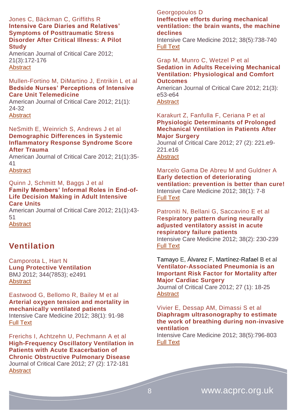#### Jones C, Bäckman C, Griffiths R **Intensive Care Diaries and Relatives' Symptoms of Posttraumatic Stress Disorder After Critical Illness: A Pilot Study**

American Journal of Critical Care 2012; 21(3):172-176 **[Abstract](http://ajcc.aacnjournals.org/content/21/3/172.abstract)** 

#### Mullen-Fortino M, DiMartino J, Entrikin L et al **Bedside Nurses' Perceptions of Intensive Care Unit Telemedicine**

American Journal of Critical Care 2012; 21(1): 24-32 **[Abstract](http://ajcc.aacnjournals.org/content/21/1/24.abstract)** 

NeSmith E, Weinrich S, Andrews J et al **Demographic Differences in Systemic Inflammatory Response Syndrome Score After Trauma** 

American Journal of Critical Care 2012; 21(1):35- 41

[Abstract](http://ajcc.aacnjournals.org/content/21/1/35.abstract)

#### Quinn J, Schmitt M, Baggs J et al **Family Members' Informal Roles in End-of-Life Decision Making in Adult Intensive Care Units**

American Journal of Critical Care 2012; 21(1):43- 51

[Abstract](http://ajcc.aacnjournals.org/content/21/1/43.abstract)

### <span id="page-7-0"></span>**Ventilation**

Camporota L, Hart N **Lung Protective Ventilation** BMJ 2012; 344(7853); e2491 **[Abstract](http://www.bmj.com/content/344/bmj.e2491)** 

Eastwood G, Bellomo R, Bailey M et al **Arterial oxygen tension and mortality in mechanically ventilated patients** Intensive Care Medicine 2012; 38(1): 91-98 [Full Text](http://www.springerlink.com/content/h44411613unk2948/fulltext.pdf)

[Frerichs](http://www.jccjournal.org/article/S0883-9441(11)00200-0/abstract) I, [Achtzehn](http://www.jccjournal.org/article/S0883-9441(11)00200-0/abstract) U, [Pechmann](http://www.jccjournal.org/article/S0883-9441(11)00200-0/abstract) A et al **High-Frequency Oscillatory Ventilation in Patients with Acute Exacerbation of Chronic Obstructive Pulmonary Disease** Journal of Critical Care 2012; 27 (2): 172-181 **[Abstract](http://www.jccjournal.org/article/S0883-9441(11)00200-0/abstract)** 

#### Georgopoulos D

#### **[Ineffective efforts during mechanical](http://icmjournal.esicm.org/journal/134/38/5/2497_10.1007_s00134-012-2497-0/2012/Ineffective_efforts_during_mechanical_ventilation.html)  [ventilation: the brain wants, the machine](http://icmjournal.esicm.org/journal/134/38/5/2497_10.1007_s00134-012-2497-0/2012/Ineffective_efforts_during_mechanical_ventilation.html)  [declines](http://icmjournal.esicm.org/journal/134/38/5/2497_10.1007_s00134-012-2497-0/2012/Ineffective_efforts_during_mechanical_ventilation.html)**

Intensive Care Medicine 2012; 38(5):738-740 [Full Text](http://www.springerlink.com/content/y8024542410755rl/fulltext.html)

#### Grap M, Munro C, Wetzel P et al **Sedation in Adults Receiving Mechanical Ventilation: Physiological and Comfort Outcomes**

American Journal of Critical Care 2012; 21(3): e53-e64 **[Abstract](http://ajcc.aacnjournals.org/content/21/3/e53.abstract)** 

#### [Karakurt](http://www.jccjournal.org/article/S0883-9441(11)00385-6/abstract) Z, [Fanfulla](http://www.jccjournal.org/article/S0883-9441(11)00385-6/abstract) F, [Ceriana](http://www.jccjournal.org/article/S0883-9441(11)00385-6/abstract) P et al **Physiologic Determinants of Prolonged Mechanical Ventilation in Patients After Major Surgery**

Journal of Critical Care 2012; 27 (2): 221.e9- 221.e16 **[Abstract](http://www.jccjournal.org/article/S0883-9441(11)00385-6/abstract)** 

Marcelo Gama De Abreu M and Guldner A **Early detection of deteriorating ventilation: prevention is better than cure!** Intensive Care Medicine 2012; 38(1): 7-8 [Full Text](http://www.springerlink.com/content/627277282548461t/fulltext.pdf)

Patroniti N, Bellani G, Saccavino E et al R**[espiratory pattern during neurally](http://icmjournal.esicm.org/journal/134/38/2/2433_10.1007_s00134-011-2433-8/2011/Respiratory_pattern_during_neurally_adjusted_venti.html)  [adjusted ventilatory assist in acute](http://icmjournal.esicm.org/journal/134/38/2/2433_10.1007_s00134-011-2433-8/2011/Respiratory_pattern_during_neurally_adjusted_venti.html)  [respiratory failure patients](http://icmjournal.esicm.org/journal/134/38/2/2433_10.1007_s00134-011-2433-8/2011/Respiratory_pattern_during_neurally_adjusted_venti.html)** Intensive Care Medicine 2012; 38(2): 230-239 [Full Text](http://www.springerlink.com/content/g8475k66370v6187/fulltext.pdf)

#### [Tamayo](http://www.jccjournal.org/article/S0883-9441(11)00155-9/abstract) E, [Álvarez](http://www.jccjournal.org/article/S0883-9441(11)00155-9/abstract) F, [Martínez-Rafael](http://www.jccjournal.org/article/S0883-9441(11)00155-9/abstract) B et al **Ventilator-Associated Pneumonia is an Important Risk Factor for Mortality after Major Cardiac Surgery**  Journal of Critical Care 2012; 27 (1): 18-25

**[Abstract](http://www.jccjournal.org/article/S0883-9441(11)00155-9/abstract)** 

#### Vivier E, Dessap AM, Dimassi S et al **[Diaphragm ultrasonography to estimate](http://icmjournal.esicm.org/journal/134/38/5/2547_10.1007_s00134-012-2547-7/2012/Diaphragm_ultrasonography_to_estimate_the_work_of_.html)  [the work of breathing during non-invasive](http://icmjournal.esicm.org/journal/134/38/5/2547_10.1007_s00134-012-2547-7/2012/Diaphragm_ultrasonography_to_estimate_the_work_of_.html)  [ventilation](http://icmjournal.esicm.org/journal/134/38/5/2547_10.1007_s00134-012-2547-7/2012/Diaphragm_ultrasonography_to_estimate_the_work_of_.html)**

Intensive Care Medicine 2012; 38(5):796-803 [Full Text](http://www.springerlink.com/content/4642568t11718l85/fulltext.pdf)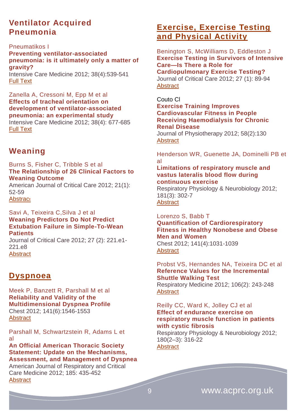### <span id="page-8-0"></span>**Ventilator Acquired Pneumonia**

Pneumatikos I **[Preventing ventilator-associated](http://icmjournal.esicm.org/journal/134/38/4/2496_10.1007_s00134-012-2496-1/2012/Preventing_ventilator-associated_pneumonia_is_it_.html)  [pneumonia: is it ultimately only a matter of](http://icmjournal.esicm.org/journal/134/38/4/2496_10.1007_s00134-012-2496-1/2012/Preventing_ventilator-associated_pneumonia_is_it_.html)  [gravity?](http://icmjournal.esicm.org/journal/134/38/4/2496_10.1007_s00134-012-2496-1/2012/Preventing_ventilator-associated_pneumonia_is_it_.html)** Intensive Care Medicine 2012; 38(4):539-541 [Full Text](http://www.springerlink.com/content/ru18x5108051g502/fulltext.pdf)

#### Zanella A, Cressoni M, Epp M et al **[Effects of tracheal orientation on](http://icmjournal.esicm.org/journal/134/38/4/2495_10.1007_s00134-012-2495-2/2012/Effects_of_tracheal_orientation_on_development_of_.html)  [development of ventilator-associated](http://icmjournal.esicm.org/journal/134/38/4/2495_10.1007_s00134-012-2495-2/2012/Effects_of_tracheal_orientation_on_development_of_.html)  [pneumonia: an experimental study](http://icmjournal.esicm.org/journal/134/38/4/2495_10.1007_s00134-012-2495-2/2012/Effects_of_tracheal_orientation_on_development_of_.html)** Intensive Care Medicine 2012; 38(4): 677-685

[Full Text](http://www.springerlink.com/content/3x23323k52600mg2/fulltext.pdf)

### <span id="page-8-1"></span>**Weaning**

Burns S, Fisher C, Tribble S et al **The Relationship of 26 Clinical Factors to Weaning Outcome** 

American Journal of Critical Care 2012; 21(1): 52-59 **[Abstrac](http://ajcc.aacnjournals.org/content/21/1/52.abstract)t** 

[Savi](http://www.jccjournal.org/article/S0883-9441(11)00372-8/abstract) A, [Teixeira](http://www.jccjournal.org/article/S0883-9441(11)00372-8/abstract) C[,Silva](http://www.jccjournal.org/article/S0883-9441(11)00372-8/abstract) J et al

#### **Weaning Predictors Do Not Predict Extubation Failure in Simple-To-Wean Patients**

Journal of Critical Care 2012; 27 (2): 221.e1- 221.e8 **[Abstract](http://www.jccjournal.org/article/S0883-9441(11)00372-8/abstract)** 

### <span id="page-8-2"></span>**Dyspnoea**

Meek P, Banzett R, Parshall M et al **Reliability and Validity of the Multidimensional Dyspnea Profile** Chest 2012; 141(6):1546-1553 **[Abstract](http://journal.publications.chestnet.org/article.aspx?articleid=1186869)** 

Parshall M, Schwartzstein R, Adams L et al

**An Official American Thoracic Society Statement: Update on the Mechanisms, Assessment, and Management of Dyspnea**

American Journal of Respiratory and Critical Care Medicine 2012; 185: 435-452 **[Abstract](http://ajrccm.atsjournals.org/content/185/4/435.abstract)** 

### <span id="page-8-3"></span>**Exercise, Exercise Testing and Physical Activity**

[Benington](http://www.jccjournal.org/article/S0883-9441(11)00373-X/abstract) S, [McWilliams](http://www.jccjournal.org/article/S0883-9441(11)00373-X/abstract) D, [Eddleston](http://www.jccjournal.org/article/S0883-9441(11)00373-X/abstract) J **Exercise Testing in Survivors of Intensive Care—Is There a Role for Cardiopulmonary Exercise Testing?** 

Journal of Critical Care 2012; 27 (1): 89-94 **[Abstract](http://www.jccjournal.org/article/S0883-9441(11)00373-X/abstract)** 

Couto Cl **Exercise Training Improves Cardiovascular Fitness in People Receiving Haemodialysis for Chronic Renal Disease**

Journal of Physiotherapy 2012; 58(2):130 **[Abstract](http://www.ncbi.nlm.nih.gov/pubmed/22613246)** 

Henderson WR, Guenette JA, Dominelli PB et al

**Limitations of respiratory muscle and vastus lateralis blood flow during continuous exercise**

Respiratory Physiology & Neurobiology 2012; 181(3): 302-7 **[Abstract](http://ac.els-cdn.com/S1569904812000821/1-s2.0-S1569904812000821-main.pdf?_tid=41c5ced30b4daba9c964d3ae64c01af3&acdnat=1343215105_9863da8261fea9611afb70d590938402)** 

Lorenzo S, Babb T **Quantification of Cardiorespiratory Fitness in Healthy Nonobese and Obese Men and Women** Chest 2012; 141(4):1031-1039 **[Abstract](http://journal.publications.chestnet.org/article.aspx?articleid=1206473)** 

Probst VS, Hernandes NA, Teixeira DC et al **Reference Values for the Incremental Shuttle Walking Test** Respiratory Medicine 2012; 106(2): 243-248 **[Abstract](http://www.resmedjournal.com/article/S0954-6111(11)00259-9/abstract)** 

#### Reilly CC, Ward K, Jolley CJ et al **Effect of endurance exercise on respiratory muscle function in patients with cystic fibrosis**

Respiratory Physiology & Neurobiology 2012; 180(2–3): 316-22 **[Abstract](http://ac.els-cdn.com/S1569904811004320/1-s2.0-S1569904811004320-main.pdf?_tid=2cbedb747c767b8869c12df284698420&acdnat=1343212486_b2fb087917cd3467778b7eb237017b1a)** 

9 www.acprc.org.uk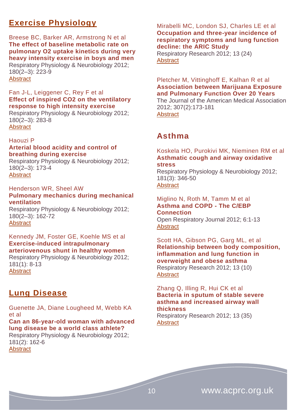### <span id="page-9-0"></span>**Exercise Physiology**

Breese BC, Barker AR, Armstrong N et al **The effect of baseline metabolic rate on pulmonary O2 uptake kinetics during very heavy intensity exercise in boys and men** Respiratory Physiology & Neurobiology 2012; 180(2–3): 223-9

[Abstract](http://ac.els-cdn.com/S1569904811004022/1-s2.0-S1569904811004022-main.pdf?_tid=7c3559cbbc14a186f5c10826e143aeb1&acdnat=1343211234_ba63b6f090068594cdc07504e27bda20)

#### Fan J-L, Leiggener C, Rey F et al **Effect of inspired CO2 on the ventilatory response to high intensity exercise**

Respiratory Physiology & Neurobiology 2012; 180(2–3): 283-8 **[Abstract](http://ac.els-cdn.com/S1569904811004253/1-s2.0-S1569904811004253-main.pdf?_tid=5a2c0ca82f8e429f036ba030e4caceba&acdnat=1343211620_9f2e0ce3baac325321408ca580c38e38)** 

#### Haouzi P

#### **Arterial blood acidity and control of breathing during exercise**

Respiratory Physiology & Neurobiology 2012; 180(2–3): 173-4 [Abstract](http://ac.els-cdn.com/S1569904811004083/1-s2.0-S1569904811004083-main.pdf?_tid=9339d767d497fdce3a2685ac450bfffc&acdnat=1343211713_17502c016224731169269685760fb15f)

#### Henderson WR, Sheel AW

#### **Pulmonary mechanics during mechanical ventilation**

Respiratory Physiology & Neurobiology 2012; 180(2–3): 162-72 **[Abstract](http://ac.els-cdn.com/S1569904811004034/1-s2.0-S1569904811004034-main.pdf?_tid=e3f4895765dcdfffc18b92a5d8c440d7&acdnat=1343211774_d43da1e2e65d46cef4d1ea12ae9b0ceb)** 

#### Kennedy JM, Foster GE, Koehle MS et al **Exercise-induced intrapulmonary arteriovenous shunt in healthy women**

Respiratory Physiology & Neurobiology 2012; 181(1): 8-13 **[Abstract](http://ac.els-cdn.com/S1569904812000055/1-s2.0-S1569904812000055-main.pdf?_tid=88f44c964eab1b9ea51ca88237de6a07&acdnat=1343212888_97c2123fa530c127b65da06e9041bdbd)** 

### <span id="page-9-1"></span>**Lung Disease**

Guenette JA, Diane Lougheed M, Webb KA et al

**Can an 86-year-old woman with advanced lung disease be a world class athlete?** 

Respiratory Physiology & Neurobiology 2012; 181(2): 162-6 **[Abstract](http://ac.els-cdn.com/S156990481200064X/1-s2.0-S156990481200064X-main.pdf?_tid=f43085b987bf1f94df329bd0409b5c3c&acdnat=1343213400_5dbb93ac03c0ab95782d661338634d1a)** 

[Mirabelli MC,](http://www.ncbi.nlm.nih.gov/pubmed?term=Mirabelli%20MC%5BAuthor%5D&cauthor=true&cauthor_uid=22433119) [London SJ,](http://www.ncbi.nlm.nih.gov/pubmed?term=London%20SJ%5BAuthor%5D&cauthor=true&cauthor_uid=22433119) [Charles LE](http://www.ncbi.nlm.nih.gov/pubmed?term=Charles%20LE%5BAuthor%5D&cauthor=true&cauthor_uid=22433119) et al **Occupation and three-year incidence of respiratory symptoms and lung function decline: the ARIC Study** Respiratory Research 2012; 13 (24) **[Abstract](http://www.ncbi.nlm.nih.gov/sites/entrez/22433119?dopt=Abstract&holding=f1000,f1000m,isrctn)** 

Pletcher M, Vittinghoff E, Kalhan R et al **Association between Marijuana Exposure and Pulmonary Function Over 20 Years** The Journal of the American Medical Association 2012; 307(2):173-181 **[Abstract](http://www.ncbi.nlm.nih.gov/pubmed?term=Pletcher%20M%2C%20Vittinghoff%20E%2C%20Kalhan%20R%20et%20al)** 

### <span id="page-9-2"></span>**Asthma**

#### Koskela HO, Purokivi MK, Nieminen RM et al **Asthmatic cough and airway oxidative stress**

Respiratory Physiology & Neurobiology 2012; 181(3): 346-50 **[Abstract](http://ac.els-cdn.com/S1569904812000870/1-s2.0-S1569904812000870-main.pdf?_tid=e2e313ef6ce4bdafe1ee908aa89f435c&acdnat=1343215176_4f4765cb28469fc549d522df31ba4f4f)** 

### Miglino N, Roth M, Tamm M et al **Asthma and COPD - The C/EBP Connection**

Open Respiratory Journal 2012; 6:1-13 **[Abstract](http://www.ncbi.nlm.nih.gov/pubmed/22715349)** 

#### [Scott HA,](http://www.ncbi.nlm.nih.gov/pubmed?term=Scott%20HA%5BAuthor%5D&cauthor=true&cauthor_uid=22296721) [Gibson PG,](http://www.ncbi.nlm.nih.gov/pubmed?term=Gibson%20PG%5BAuthor%5D&cauthor=true&cauthor_uid=22296721) [Garg ML,](http://www.ncbi.nlm.nih.gov/pubmed?term=Garg%20ML%5BAuthor%5D&cauthor=true&cauthor_uid=22296721) et al **Relationship between body composition, inflammation and lung function in overweight and obese asthma** Respiratory Research 2012; 13 (10) [Abstract](http://www.ncbi.nlm.nih.gov/sites/entrez/22296721?dopt=Abstract&holding=f1000,f1000m,isrctn)

#### [Zhang Q,](http://www.ncbi.nlm.nih.gov/pubmed?term=Zhang%20Q%5BAuthor%5D&cauthor=true&cauthor_uid=22513083) [Illing R,](http://www.ncbi.nlm.nih.gov/pubmed?term=Illing%20R%5BAuthor%5D&cauthor=true&cauthor_uid=22513083) [Hui CK](http://www.ncbi.nlm.nih.gov/pubmed?term=Hui%20CK%5BAuthor%5D&cauthor=true&cauthor_uid=22513083) et al **Bacteria in sputum of stable severe asthma and increased airway wall thickness**

Respiratory Research 2012; 13 (35) [Abstract](http://www.ncbi.nlm.nih.gov/sites/entrez/22513083?dopt=Abstract&holding=f1000,f1000m,isrctn)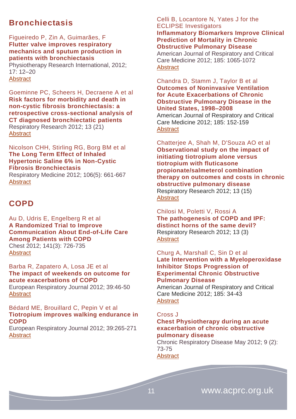### <span id="page-10-0"></span>**Bronchiectasis**

Figueiredo P, Zin A, Guimarães, F **Flutter valve improves respiratory mechanics and sputum production in patients with bronchiectasis**

Physiotherapy Research International, 2012; 17: 12–20 [Abstract](http://onlinelibrary.wiley.com/doi/10.1002/pri.507/abstract)

[Goeminne PC,](http://www.ncbi.nlm.nih.gov/pubmed?term=Goeminne%20PC%5BAuthor%5D&cauthor=true&cauthor_uid=22423975) [Scheers H,](http://www.ncbi.nlm.nih.gov/pubmed?term=Scheers%20H%5BAuthor%5D&cauthor=true&cauthor_uid=22423975) [Decraene A](http://www.ncbi.nlm.nih.gov/pubmed?term=Decraene%20A%5BAuthor%5D&cauthor=true&cauthor_uid=22423975) et al **Risk factors for morbidity and death in non-cystic fibrosis bronchiectasis: a retrospective cross-sectional analysis of CT diagnosed bronchiectatic patients** Respiratory Research 2012; 13 (21) **[Abstract](http://www.ncbi.nlm.nih.gov/sites/entrez/22423975?dopt=Abstract&holding=f1000,f1000m,isrctn)** 

Nicolson CHH, Stirling RG, Borg BM et al **The Long Term Effect of Inhaled Hypertonic Saline 6% in Non-Cystic Fibrosis Bronchiectasis**

Respiratory Medicine 2012; 106(5): 661-667 [Abstract](http://www.resmedjournal.com/article/S0954-6111(12)00043-1/abstract)

### <span id="page-10-1"></span>**COPD**

Au D, Udris E, Engelberg R et al **A Randomized Trial to Improve Communication About End-of-Life Care Among Patients with COPD** Chest 2012; 141(3): 726-735 [Abstract](http://journal.publications.chestnet.org/article.aspx?articleid=1159682)

Barba R, Zapatero A, Losa JE et al **The impact of weekends on outcome for acute exacerbations of COPD**  European Respiratory Journal 2012; 39:46-50 **[Abstract](http://erj.ersjournals.com/content/39/1/46.abstract)** 

#### Bédard ME, Brouillard C, Pepin V et al **Tiotropium improves walking endurance in COPD**

European Respiratory Journal 2012; 39:265-271 **[Abstract](http://erj.ersjournals.com/content/39/2/265.abstract)** 

Celli B, Locantore N, Yates J for the ECLIPSE Investigators

#### **Inflammatory Biomarkers Improve Clinical Prediction of Mortality in Chronic Obstructive Pulmonary Disease**

American Journal of Respiratory and Critical Care Medicine 2012; 185: 1065-1072 **[Abstract](http://ajrccm.atsjournals.org/content/185/10/1065.abstract)** 

Chandra D, Stamm J, Taylor B et al **Outcomes of Noninvasive Ventilation for Acute Exacerbations of Chronic Obstructive Pulmonary Disease in the United States, 1998–2008**

American Journal of Respiratory and Critical Care Medicine 2012; 185: 152-159 **[Abstract](http://ajrccm.atsjournals.org/content/185/2/152.abstract)** 

[Chatterjee A,](http://www.ncbi.nlm.nih.gov/pubmed?term=Chatterjee%20A%5BAuthor%5D&cauthor=true&cauthor_uid=22340019) [Shah M,](http://www.ncbi.nlm.nih.gov/pubmed?term=Shah%20M%5BAuthor%5D&cauthor=true&cauthor_uid=22340019) [D'Souza AO](http://www.ncbi.nlm.nih.gov/pubmed?term=D) et al **Observational study on the impact of initiating tiotropium alone versus tiotropium with fluticasone propionate/salmeterol combination therapy on outcomes and costs in chronic obstructive pulmonary disease** Respiratory Research 2012; 13 (15) **[Abstract](http://www.ncbi.nlm.nih.gov/sites/entrez/22340019?dopt=Abstract&holding=f1000,f1000m,isrctn)** 

[Chilosi M,](http://www.ncbi.nlm.nih.gov/pubmed?term=Chilosi%20M%5BAuthor%5D&cauthor=true&cauthor_uid=22235752) [Poletti V,](http://www.ncbi.nlm.nih.gov/pubmed?term=Poletti%20V%5BAuthor%5D&cauthor=true&cauthor_uid=22235752) [Rossi A](http://www.ncbi.nlm.nih.gov/pubmed?term=Rossi%20A%5BAuthor%5D&cauthor=true&cauthor_uid=22235752) **The pathogenesis of COPD and IPF: distinct horns of the same devil?** Respiratory Research 2012; 13 (3) **[Abstract](http://www.ncbi.nlm.nih.gov/sites/entrez/22235752?dopt=Abstract&holding=f1000,f1000m,isrctn)** 

Churg A, Marshall C, Sin D et al **Late Intervention with a Myeloperoxidase Inhibitor Stops Progression of Experimental Chronic Obstructive Pulmonary Disease**

American Journal of Respiratory and Critical Care Medicine 2012; 185: 34-43 [Abstract](http://ajrccm.atsjournals.org/content/185/1/34.abstract)

#### Cross J

#### **Chest Physiotherapy during an acute exacerbation of chronic obstructive pulmonary disease**

Chronic Respiratory Disease May 2012; 9 (2): 73-75 [Abstract](http://www.ncbi.nlm.nih.gov/pubmed/22653291)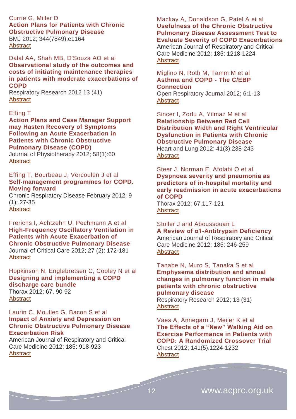#### Currie G, Miller D

**Action Plans for Patients with Chronic Obstructive Pulmonary Disease** BMJ 2012; 344(7849):e1164 [Abstract](http://www.bmj.com/content/344/bmj.e1164)

[Dalal AA,](http://www.ncbi.nlm.nih.gov/pubmed?term=Dalal%20AA%5BAuthor%5D&cauthor=true&cauthor_uid=22651541) [Shah MB,](http://www.ncbi.nlm.nih.gov/pubmed?term=Shah%20MB%5BAuthor%5D&cauthor=true&cauthor_uid=22651541) [D'Souza AO](http://www.ncbi.nlm.nih.gov/pubmed?term=D) et al **Observational study of the outcomes and costs of initiating maintenance therapies in patients with moderate exacerbations of COPD**

Respiratory Research 2012 13 (41) **[Abstract](http://www.ncbi.nlm.nih.gov/sites/entrez/22651541?dopt=Abstract&holding=f1000,f1000m,isrctn)** 

#### Effing T

**Action Plans and Case Manager Support may Hasten Recovery of Symptoms Following an Acute Exacerbation in Patients with Chronic Obstructive Pulmonary Disease (COPD)**

Journal of Physiotherapy 2012; 58(1):60 **[Abstract](http://www.ncbi.nlm.nih.gov/pubmed/22341386)** 

#### Effing T, Bourbeau J, Vercoulen J et al **Self-management programmes for COPD. Moving forward**

Chronic Respiratory Disease February 2012; 9 (1): 27-35 **[Abstract](http://www.ncbi.nlm.nih.gov/pubmed?term=Effing%20T%2C%20Bourbeau%20J%2C%20Vercoulen%20J%20et%20al)** 

[Frerichs](http://www.jccjournal.org/article/S0883-9441(11)00200-0/abstract) I, [Achtzehn](http://www.jccjournal.org/article/S0883-9441(11)00200-0/abstract) U, [Pechmann](http://www.jccjournal.org/article/S0883-9441(11)00200-0/abstract) A et al **High-Frequency Oscillatory Ventilation in Patients with Acute Exacerbation of Chronic Obstructive Pulmonary Disease** Journal of Critical Care 2012; 27 (2): 172-181 **[Abstract](http://www.jccjournal.org/article/S0883-9441(11)00200-0/abstract)** 

Hopkinson N, Englebretsen C, Cooley N et al **Designing and implementing a COPD discharge care bundle** Thorax 2012; 67, 90-92 **[Abstract](http://thorax.bmj.com/content/67/1/90.abstract)** 

#### Laurin C, Moullec G, Bacon S et al **Impact of Anxiety and Depression on Chronic Obstructive Pulmonary Disease Exacerbation Risk**

American Journal of Respiratory and Critical Care Medicine 2012; 185: 918-923 [Abstract](http://ajrccm.atsjournals.org/content/185/9/918.abstract)

#### Mackay A, Donaldson G, Patel A et al **Usefulness of the Chronic Obstructive Pulmonary Disease Assessment Test to Evaluate Severity of COPD Exacerbations**

American Journal of Respiratory and Critical Care Medicine 2012; 185: 1218-1224 **[Abstract](http://ajrccm.atsjournals.org/content/185/11/1218.abstract)** 

#### Miglino N, Roth M, Tamm M et al **Asthma and COPD - The C/EBP Connection**

Open Respiratory Journal 2012; 6:1-13 **[Abstract](http://www.ncbi.nlm.nih.gov/pubmed/22715349)** 

Sincer I, Zorlu A, Yilmaz M et al **[Relationship Between Red Cell](http://www.heartandlung.org/article/S0147-9563(11)00374-8/abstract)  [Distribution Width and Right Ventricular](http://www.heartandlung.org/article/S0147-9563(11)00374-8/abstract)  [Dysfunction in Patients with Chronic](http://www.heartandlung.org/article/S0147-9563(11)00374-8/abstract)  [Obstructive Pulmonary Disease](http://www.heartandlung.org/article/S0147-9563(11)00374-8/abstract)**  Heart and Lung 2012; 41(3):238-243 **[Abstract](http://www.heartandlung.org/article/S0147-9563(11)00374-8/abstract)** 

#### Steer J, Norman E, Afolabi O et al **Dyspnoea severity and pneumonia as predictors of in-hospital mortality and early readmission in acute exacerbations of COPD**

Thorax 2012; 67,117-121 **[Abstract](http://thorax.bmj.com/content/67/2/117.abstract)** 

#### Stoller J and Aboussouan L

**A Review of α1-Antitrypsin Deficiency** American Journal of Respiratory and Critical Care Medicine 2012; 185: 246-259 **[Abstract](http://ajrccm.atsjournals.org/content/185/3/246.abstract)** 

[Tanabe N,](http://www.ncbi.nlm.nih.gov/pubmed?term=Tanabe%20N%5BAuthor%5D&cauthor=true&cauthor_uid=22512922) [Muro S,](http://www.ncbi.nlm.nih.gov/pubmed?term=Muro%20S%5BAuthor%5D&cauthor=true&cauthor_uid=22512922) [Tanaka S](http://www.ncbi.nlm.nih.gov/pubmed?term=Tanaka%20S%5BAuthor%5D&cauthor=true&cauthor_uid=22512922) et al **Emphysema distribution and annual changes in pulmonary function in male patients with chronic obstructive pulmonary disease** Respiratory Research 2012; 13 (31) **[Abstract](http://www.ncbi.nlm.nih.gov/sites/entrez/22512922?dopt=Abstract&holding=f1000,f1000m,isrctn)** 

Vaes A, Annegarn J, Meijer K et al **The Effects of a "New" Walking Aid on Exercise Performance in Patients with COPD: A Randomized Crossover Trial** Chest 2012; 141(5):1224-1232 [Abstract](http://journal.publications.chestnet.org/article.aspx?articleid=1186420)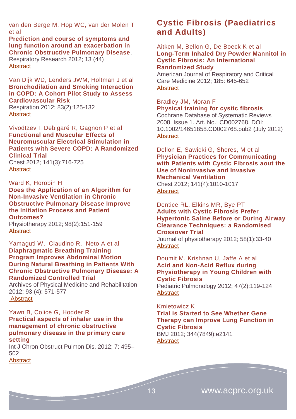[van den Berge M,](http://www.ncbi.nlm.nih.gov/pubmed?term=van%20den%20Berge%20M%5BAuthor%5D&cauthor=true&cauthor_uid=22672621) [Hop WC,](http://www.ncbi.nlm.nih.gov/pubmed?term=Hop%20WC%5BAuthor%5D&cauthor=true&cauthor_uid=22672621) [van der Molen T](http://www.ncbi.nlm.nih.gov/pubmed?term=van%20der%20Molen%20T%5BAuthor%5D&cauthor=true&cauthor_uid=22672621) et al

**Prediction and course of symptoms and lung function around an exacerbation in Chronic Obstructive Pulmonary Disease**. Respiratory Research 2012; 13 (44) **[Abstract](http://www.ncbi.nlm.nih.gov/sites/entrez/22672621?dopt=Abstract&holding=f1000,f1000m,isrctn)** 

Van Dijk WD, Lenders JWM, Holtman J et al **Bronchodilation and Smoking Interaction in COPD: A Cohort Pilot Study to Assess Cardiovascular Risk**

Respiration 2012; 83(2):125-132 **[Abstract](http://content.karger.com/ProdukteDB/produkte.asp?Aktion=ShowAbstract&ArtikelNr=326921&Ausgabe=256734&ProduktNr=224278)** 

Vivodtzev I, Debigaré R, Gagnon P et al **Functional and Muscular Effects of Neuromuscular Electrical Stimulation in Patients with Severe COPD: A Randomized Clinical Trial** Chest 2012; 141(3):716-725 [Abstract](http://journal.publications.chestnet.org/article.aspx?articleid=1159706)

#### Ward K, Horobin H

**[Does the Application of an Algorithm for](http://www.physiotherapyjournal.com/article/S0031-9406(11)00044-7/abstract)  [Non-Invasive Ventilation in Chronic](http://www.physiotherapyjournal.com/article/S0031-9406(11)00044-7/abstract)  [Obstructive Pulmonary Disease Improve](http://www.physiotherapyjournal.com/article/S0031-9406(11)00044-7/abstract)  [the Initiation Process and Patient](http://www.physiotherapyjournal.com/article/S0031-9406(11)00044-7/abstract)  [Outcomes?](http://www.physiotherapyjournal.com/article/S0031-9406(11)00044-7/abstract)** 

Physiotherapy 2012; 98(2):151-159 **[Abstract](http://www.physiotherapyjournal.com/article/S0031-9406(11)00044-7/abstract)** 

#### Yamaguti W, Claudino R, Neto A et al **Diaphragmatic Breathing Training Program Improves Abdominal Motion During Natural Breathing in Patients With Chronic Obstructive Pulmonary Disease: A Randomized Controlled Trial**

Archives of Physical Medicine and Rehabilitation 2012; 93 (4): 571-577 [Abstract](http://www.ncbi.nlm.nih.gov/pubmed?term=Diaphragmatic%20Breathing%20Training%20Program%20Improves%20Abdominal%20Motion%20During%20Natural%20Breathing%20in%20Patients%20With%20Chronic%20Obstructive%20Pulmonary%20Disease:%20A%20Randomized%20Controlled%20Trial)

#### Yawn B, Colice G, Hodder R **[Practical aspects of inhaler use in the](http://www.ncbi.nlm.nih.gov/pmc/articles/PMC3413176/)  [management of chronic obstructive](http://www.ncbi.nlm.nih.gov/pmc/articles/PMC3413176/)  [pulmonary disease in the primary care](http://www.ncbi.nlm.nih.gov/pmc/articles/PMC3413176/)  [setting](http://www.ncbi.nlm.nih.gov/pmc/articles/PMC3413176/)**

Int J Chron Obstruct Pulmon Dis. 2012; 7: 495– 502 [Abstract](Practical%20aspects%20of%20inhaler%20use%20in%20the%20management%20of%20chronic%20obstructive%20pulmonary%20disease%20in%20the%20primary%20care%20setting)

### <span id="page-12-0"></span>**Cystic Fibrosis (Paediatrics and Adults)**

#### Aitken M, Bellon G, De Boeck K et al **Long-Term Inhaled Dry Powder Mannitol in Cystic Fibrosis: An International Randomized Study**

American Journal of Respiratory and Critical Care Medicine 2012; 185: 645-652 [Abstract](http://ajrccm.atsjournals.org/content/185/6/645.abstract)

#### Bradley JM, Moran F **Physical training for cystic fibrosis**

Cochrane Database of Systematic Reviews 2008, Issue 1. Art. No.: CD002768. DOI: 10.1002/14651858.CD002768.pub2 (July 2012) **[Abstract](http://summaries.cochrane.org/CD002768/physical-training-to-improve-exercise-capacity-in-people-with-cystic-fibrosis)** 

Dellon E, Sawicki G, Shores, M et al **Physician Practices for Communicating with Patients with Cystic Fibrosis aout the Use of Noninvasive and Invasive Mechanical Ventilation** Chest 2012; 141(4):1010-1017 **[Abstract](http://journal.publications.chestnet.org/article.aspx?articleid=1206477)** 

Dentice RL, Elkins MR, Bye PT **Adults with Cystic Fibrosis Prefer Hypertonic Saline Before or During Airway Clearance Techniques: a Randomised Crossover Trial** Journal of physiotherapy 2012; 58(1):33-40

**[Abstract](http://www.ncbi.nlm.nih.gov/pubmed/22341380)** 

#### Doumit M, Krishnan U, Jaffe A et al **Acid and Non-Acid Reflux during Physiotherapy in Young Children with Cystic Fibrosis** Pediatric Pulmonology 2012; 47(2):119-124

**[Abstract](http://www.ncbi.nlm.nih.gov/pubmed/22241570)** 

#### Kmietowicz K

**Trial is Started to See Whether Gene Therapy can Improve Lung Function in Cystic Fibrosis** BMJ 2012; 344(7849):e2141 **[Abstract](http://www.bmj.com/content/344/bmj.e2141)**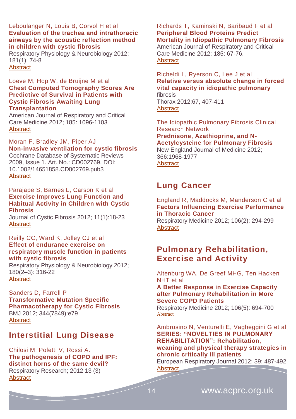#### Leboulanger N, Louis B, Corvol H et al **Evaluation of the trachea and intrathoracic airways by the acoustic reflection method in children with cystic fibrosis**

Respiratory Physiology & Neurobiology 2012; 181(1): 74-8 **[Abstract](http://ac.els-cdn.com/S1569904812000390/1-s2.0-S1569904812000390-main.pdf?_tid=357f2af24f90026f7f904d1b5eb00ebf&acdnat=1343212963_27de09c80f5f95143451833932739912)** 

#### Loeve M, Hop W, de Bruijne M et al **Chest Computed Tomography Scores Are Predictive of Survival in Patients with Cystic Fibrosis Awaiting Lung Transplantation**

American Journal of Respiratory and Critical Care Medicine 2012; 185: 1096-1103 **[Abstract](http://ajrccm.atsjournals.org/content/185/10/1096.abstract)** 

#### Moran F, Bradley JM, Piper AJ **Non-invasive ventilation for cystic fibrosis** Cochrane Database of Systematic Reviews 2009, Issue 1. Art. No.: CD002769. DOI: 10.1002/14651858.CD002769.pub3 **[Abstract](http://summaries.cochrane.org/CD002769/non-invasive-ventilation-is-the-mechanical-inflation-and-deflation-of-the-lungs-via-a-face-mask-which-may-help-breathing-during-sleep-help-reduce-respiratory-failure-help-with-clearance-of-sputum-and-help-improve-exercise-tolerance.)**

#### Parajape S, Barnes L, Carson K et al **Exercise Improves Lung Function and Habitual Activity in Children with Cystic Fibrosis** Journal of Cystic Fibrosis 2012; 11(1):18-23

**[Abstract](http://www.ncbi.nlm.nih.gov/pubmed/21890433)** 

#### Reilly CC, Ward K, Jolley CJ et al **Effect of endurance exercise on respiratory muscle function in patients with cystic fibrosis**

Respiratory Physiology & Neurobiology 2012; 180(2–3): 316-22 **[Abstract](http://ac.els-cdn.com/S1569904811004320/1-s2.0-S1569904811004320-main.pdf?_tid=2cbedb747c767b8869c12df284698420&acdnat=1343212486_b2fb087917cd3467778b7eb237017b1a)** 

#### Sanders D, Farrell P **Transformative Mutation Specific Pharmacotherapy for Cystic Fibrosis** BMJ 2012; 344(7849):e79 **[Abstract](http://www.bmj.com/content/344/bmj.e79)**

## <span id="page-13-0"></span>**Interstitial Lung Disease**

[Chilosi M,](http://www.ncbi.nlm.nih.gov/pubmed?term=Chilosi%20M%5BAuthor%5D&cauthor=true&cauthor_uid=22235752) [Poletti V,](http://www.ncbi.nlm.nih.gov/pubmed?term=Poletti%20V%5BAuthor%5D&cauthor=true&cauthor_uid=22235752) [Rossi A.](http://www.ncbi.nlm.nih.gov/pubmed?term=Rossi%20A%5BAuthor%5D&cauthor=true&cauthor_uid=22235752) **The pathogenesis of COPD and IPF: distinct horns of the same devil?** Respiratory Research; 2012 13 (3) **[Abstract](http://www.ncbi.nlm.nih.gov/sites/entrez/22235752?dopt=Abstract&holding=f1000,f1000m,isrctn)** 

### Richards T, Kaminski N, Baribaud F et al **Peripheral Blood Proteins Predict Mortality in Idiopathic Pulmonary Fibrosis**

American Journal of Respiratory and Critical Care Medicine 2012; 185: 67-76. **[Abstract](http://ajrccm.atsjournals.org/content/185/1/67.abstract)** 

### Richeldi L, Ryerson C, Lee J et al **Relative versus absolute change in forced vital capacity in idiopathic pulmonary**  fibrosis

Thorax 2012;67, 407-411 **[Abstract](http://thorax.bmj.com/content/67/5/407.abstract)** 

The Idiopathic Pulmonary Fibrosis Clinical Research Network **Prednisone, Azathioprine, and N-Acetylcysteine for Pulmonary Fibrosis**  New England Journal of Medicine 2012; 366:1968-1977 **[Abstract](http://www.nejm.org/toc/nejm/366/21/)** 

### <span id="page-13-1"></span>**Lung Cancer**

England R, Maddocks M, Manderson C et al **Factors Influencing Exercise Performance in Thoracic Cancer** Respiratory Medicine 2012; 106(2): 294-299 **[Abstract](http://www.resmedjournal.com/article/S0954-6111(11)00388-X/abstract)** 

### <span id="page-13-2"></span>**Pulmonary Rehabilitation, Exercise and Activity**

Altenburg WA, De Greef MHG, Ten Hacken NHT et al

**A Better Response in Exercise Capacity after Pulmonary Rehabilitation in More Severe COPD Patients**

Respiratory Medicine 2012; 106(5): 694-700 [Abstract](http://www.resmedjournal.com/article/S0954-6111(11)00395-7/abstract)

Ambrosino N, Venturelli E, Vagheggini G et al **SERIES: "NOVELTIES IN PULMONARY REHABILITATION‖: Rehabilitation, weaning and physical therapy strategies in chronic critically ill patients** 

European Respiratory Journal 2012; 39: 487-492 **[Abstract](http://erj.ersjournals.com/content/39/2/487.abstract)**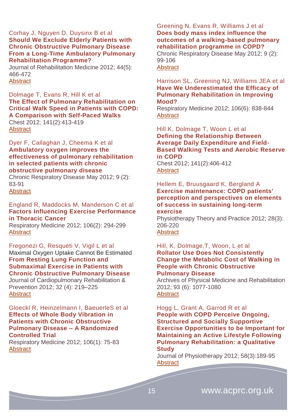Corhay J, Nguyen D, Duysinx B et al **Should We Exclude Elderly Patients with Chronic Obstructive Pulmonary Disease From a Long-Time Ambulatory Pulmonary Rehabilitation Programme?**

Journal of Rehabilitation Medicine 2012; 44(5): 466-472

**[Abstract](http://www.ncbi.nlm.nih.gov/sites/entrez?cmd=search&db=pubmed&term=10.2340/16501977-0973&dispmax=50)** 

Dolmage T, Evans R, Hill K et al **The Effect of Pulmonary Rehabilitation on Critical Walk Speed in Patients with COPD: A Comparison with Self-Paced Walks** Chest 2012; 141(2):413-419 **[Abstract](http://journal.publications.chestnet.org/article.aspx?articleid=1149087)** 

Dyer F, Callaghan J, Cheema K et al **Ambulatory oxygen improves the effectiveness of pulmonary rehabilitation in selected patients with chronic obstructive pulmonary disease**

Chronic Respiratory Disease May 2012; 9 (2): 83-91

[Abstract](http://www.ncbi.nlm.nih.gov/pubmed?term=Dyer%20F%2C%20Callaghan%20J%2C%20Cheema%20K)

England R, Maddocks M, Manderson C et al **Factors Influencing Exercise Performance in Thoracic Cancer**

Respiratory Medicine 2012; 106(2): 294-299 **[Abstract](http://www.resmedjournal.com/article/S0954-6111(11)00388-X/abstract)** 

Fregonezi G, Resqueti V, Vigil L et al Maximal Oxygen Uptake Cannot Be Estimated **From Resting Lung Function and Submaximal Exercise in Patients with Chronic Obstructive Pulmonary Disease**

Journal of Cardiopulmonary Rehabilitation & Prevention 2012; 32 (4): 219–225 **[Abstract](http://journals.lww.com/jcrjournal/Abstract/2012/07000/Maximal_Oxygen_Uptake_Cannot_Be_Estimated_From.8.aspx)** 

#### Gloeckl R, Heinzelmann I, BaeuerleS et al **Effects of Whole Body Vibration in Patients with Chronic Obstructive Pulmonary Disease – A Randomized Controlled Trial**

Respiratory Medicine 2012; 106(1): 75-83 **[Abstract](http://www.resmedjournal.com/article/S0954-6111(11)00385-4/abstract)** 

Greening N, Evans R, Williams J et al **Does body mass index influence the outcomes of a walking-based pulmonary rehabilitation programme in COPD?** Chronic Respiratory Disease May 2012; 9 (2):

99-106 **[Abstract](http://www.ncbi.nlm.nih.gov/pubmed?term=Greening%20N%2C%20Evans%20R%2C%20Williams%20J%20et%20al)** 

Harrison SL, Greening NJ, Williams JEA et al **Have We Underestimated the Efficacy of Pulmonary Rehabilitation in Improving Mood?**

Respiratory Medicine 2012; 106(6): 838-844 **[Abstract](http://www.resmedjournal.com/article/S0954-6111(11)00442-2/abstract)** 

Hill K, Dolmage T, Woon L et al **Defining the Relationship Between Average Daily Expenditure and Field-Based Walking Tests and Aerobic Reserve in COPD**

Chest 2012; 141(2):406-412 **[Abstract](http://journal.publications.chestnet.org/article.aspx?articleid=1149073)** 

#### Hellem E, Bruusgaard K, Bergland A **Exercise maintenance: COPD patients' perception and perspectives on elements of success in sustaining long-term exercise**

[Physiotherapy Theory and Practice](http://www.ingentaconnect.com/content/apl/uptp) 2012; 28(3): 206-220 **[Abstract](http://www.ingentaconnect.com/content/apl/uptp/2012/00000028/00000003/art00005)** 

Hill, K, Dolmage,T, Woon, L et al **Rollator Use Does Not Consistently Change the Metabolic Cost of Walking in People with Chronic Obstructive Pulmonary Disease**

Archives of Physical Medicine and Rehabilitation 2012; 93 (6): 1077-1080 **[Abstract](http://www.ncbi.nlm.nih.gov/pubmed/22464094)** 

Hogg L, Grant A, Garrod R et al **People with COPD Perceive Ongoing, Structured and Socially Supportive Exercise Opportunities to be Important for Maintaining an Active Lifestyle Following Pulmonary Rehabilitation: a Qualitative Study**

Journal of Physiotherapy 2012; 58(3):189-95 **[Abstract](http://www.ncbi.nlm.nih.gov/pubmed/22884186)**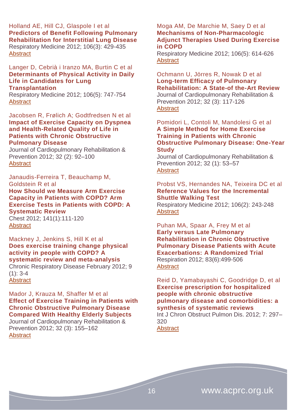Holland AE, Hill CJ, Glaspole I et al **Predictors of Benefit Following Pulmonary Rehabilitation for Interstitial Lung Disease** Respiratory Medicine 2012; 106(3): 429-435 **[Abstract](http://www.resmedjournal.com/article/S0954-6111(11)00435-5/abstract)** 

#### Langer D, Cebrià i Iranzo MA, Burtin C et al **Determinants of Physical Activity in Daily Life in Candidates for Lung Transplantation**

Respiratory Medicine 2012; 106(5): 747-754 **[Abstract](http://www.resmedjournal.com/article/S0954-6111(12)00035-2/abstract)** 

Jacobsen R, Frølich A; Godtfredsen N et al **Impact of Exercise Capacity on Dyspnea and Health-Related Quality of Life in Patients with Chronic Obstructive Pulmonary Disease**

Journal of Cardiopulmonary Rehabilitation & Prevention 2012; 32 (2): 92–100 **[Abstract](http://journals.lww.com/jcrjournal/Abstract/2012/03000/Impact_of_Exercise_Capacity_on_Dyspnea_and.5.aspx)** 

Janaudis-Ferreira T, Beauchamp M, Goldstein R et al

**How Should we Measure Arm Exercise Capacity in Patients with COPD? Arm Exercise Tests in Patients with COPD: A Systematic Review** Chest 2012; 141(1):111-120 **Abstract** 

Mackney J, Jenkins S, Hill K et al **Does exercise training change physical activity in people with COPD? A systematic review and meta-analysis** Chronic Respiratory Disease February 2012; 9  $(1): 3 - 4$ **[Abstract](http://www.ncbi.nlm.nih.gov/pubmed?term=Mackney%20J%2C%20Jenkins%20S%2C%20Hill%20K%20et%20al%20Does%20exercise%20training%20change%20physical%20activity%20in%20people%20with%20COPD%3F%20A%20systematic%20review%20and%20meta-analysis.%20Chronic%20Respiratory)** 

Mador J, Krauza M, Shaffer M et al **Effect of Exercise Training in Patients with Chronic Obstructive Pulmonary Disease Compared With Healthy Elderly Subjects** Journal of Cardiopulmonary Rehabilitation & Prevention 2012; 32 (3): 155–162

**[Abstract](http://journals.lww.com/jcrjournal/Abstract/2012/05000/Effect_of_Exercise_Training_in_Patients_With.6.aspx)** 

#### Moga AM, De Marchie M, Saey D et al **Mechanisms of Non-Pharmacologic Adjunct Therapies Used During Exercise in COPD**

Respiratory Medicine 2012; 106(5): 614-626 **[Abstract](http://www.resmedjournal.com/article/S0954-6111(12)00038-8/abstract)** 

#### Ochmann U, Jörres R, Nowak D et al **Long-term Efficacy of Pulmonary Rehabilitation: A State-of the-Art Review**

Journal of Cardiopulmonary Rehabilitation & Prevention 2012; 32 (3): 117-126 [Abstract](http://journals.lww.com/jcrjournal/Abstract/2012/05000/Long_term_Efficacy_of_Pulmonary_Rehabilitation__A.1.aspx)

#### Pomidori L, Contoli M, Mandolesi G et al **A Simple Method for Home Exercise Training in Patients with Chronic Obstructive Pulmonary Disease: One-Year Study**

Journal of Cardiopulmonary Rehabilitation & Prevention 2012; 32 (1): 53–57 **[Abstract](http://journals.lww.com/jcrjournal/Abstract/2012/01000/A_Simple_Method_for_Home_Exercise_Training_in.8.aspx)** 

#### Probst VS, Hernandes NA, Teixeira DC et al **Reference Values for the Incremental Shuttle Walking Test**

Respiratory Medicine 2012; 106(2): 243-248 **[Abstract](http://www.resmedjournal.com/article/S0954-6111(11)00259-9/abstract)** 

#### Puhan MA, Spaar A, Frey M et al **Early versus Late Pulmonary Rehabilitation in Chronic Obstructive Pulmonary Disease Patients with Acute Exacerbations: A Randomized Trial** Respiration 2012; 83(6):499-506 **[Abstract](http://content.karger.com/ProdukteDB/produkte.asp?Aktion=ShowAbstract&ArtikelNr=329884&Ausgabe=257042&ProduktNr=224278)**

#### Reid D, Yamabayashi C, Goodridge D, et al **[Exercise prescription for hospitalized](http://www.ncbi.nlm.nih.gov/pmc/articles/PMC3363140/)  [people with chronic obstructive](http://www.ncbi.nlm.nih.gov/pmc/articles/PMC3363140/)  [pulmonary disease and comorbidities: a](http://www.ncbi.nlm.nih.gov/pmc/articles/PMC3363140/)  [synthesis of systematic reviews](http://www.ncbi.nlm.nih.gov/pmc/articles/PMC3363140/)**

Int J Chron Obstruct Pulmon Dis. 2012; 7: 297– 320

**[Abstract](http://www.ncbi.nlm.nih.gov/pmc/articles/PMC3363140/?report=abstract)**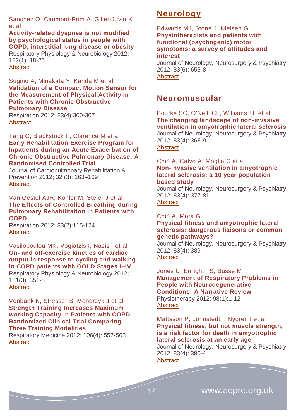Sanchez O, Caumont-Prim A, Gillet-Juvin K et al

**Activity-related dyspnea is not modified by psychological status in people with COPD, interstitial lung disease or obesity** Respiratory Physiology & Neurobiology 2012; 182(1): 18-25 **[Abstract](http://ac.els-cdn.com/S1569904812000444/1-s2.0-S1569904812000444-main.pdf?_tid=3f92255ce3b307d94523f63275ec6e67&acdnat=1343215455_9ee7239cde4de6e5ef85bad02b3d4ea8)** 

#### Sugino A, Minakata Y, Kanda M et al **Validation of a Compact Motion Sensor for the Measurement of Physical Activity in Patients with Chronic Obstructive Pulmonary Disease**

Respiration 2012; 83(4):300-307 [Abstract](http://content.karger.com/ProdukteDB/produkte.asp?Aktion=ShowAbstract&ArtikelNr=330046&Ausgabe=256871&ProduktNr=224278)

#### Tang C, Blackstock F, Clarence M et al **Early Rehabilitation Exercise Program for Inpatients during an Acute Exacerbation of Chronic Obstructive Pulmonary Disease: A Randomised Controlled Trial**

Journal of Cardiopulmonary Rehabilitation & Prevention 2012; 32 (3): 163–169 **[Abstract](http://journals.lww.com/jcrjournal/Abstract/2012/05000/Early_Rehabilitation_Exercise_Program_for.7.aspx)** 

#### Van Gestel AJR, Kohler M, Steier J et al **The Effects of Controlled Breathing during Pulmonary Rehabilitation in Patients with COPD**

Respiration 2012; 83(2):115-124 **[Abstract](http://content.karger.com/ProdukteDB/produkte.asp?Aktion=ShowAbstract&ArtikelNr=324449&Ausgabe=256734&ProduktNr=224278)** 

Vasilopoulou MK, Vogiatzis I, Nasis I et al **On- and off-exercise kinetics of cardiac output in response to cycling and walking in COPD patients with GOLD Stages I–IV** Respiratory Physiology & Neurobiology 2012; 181(3): 351-8 **[Abstract](http://ac.els-cdn.com/S1569904812000754/1-s2.0-S1569904812000754-main.pdf?_tid=cfbcd26d69036478372a376ad7876d9b&acdnat=1343215333_74cd456bf9a68d4ce27a7952aa81561b)** 

#### Vonbank K, Stresser B, Mondrzyk J et al **Strength Training Increases Maximum working Capacity in Patients with COPD – Randomized Clinical Trial Comparing Three Training Modalities**

Respiratory Medicine 2012; 106(4): 557-563 **Abstract** 

### <span id="page-16-0"></span>**Neurology**

#### Edwards MJ, Stone J, Nielsen G **Physiotherapists and patients with functional (psychogenic) motor symptoms: a survey of attitudes and interest**

Journal of Neurology, Neurosurgery & Psychiatry 2012; 83(6): 655-8 **[Abstract](http://jnnp.bmj.com/content/83/6/655.abstract)** 

### <span id="page-16-1"></span>**Neuromuscular**

Bourke SC, O'Neill CL, Williams TL et al **The changing landscape of non-invasive ventilation in amyotrophic lateral sclerosis** Journal of Neurology, Neurosurgery & Psychiatry 2012; 83(4): 368-9 **[Abstract](http://jnnp.bmj.com/content/83/4/368.extract)** 

#### Chiò A, Calvo A, Moglia C et al **Non-invasive ventilation in amyotrophic lateral sclerosis: a 10 year population based study**

Journal of Neurology, Neurosurgery & Psychiatry 2012; 83(4): 377-81 [Abstract](http://jnnp.bmj.com/content/83/4/377.abstract)

#### Chiò A, Mora G

#### **Physical fitness and amyotrophic lateral sclerosis: dangerous liaisons or common genetic pathways?**

Journal of Neurology, Neurosurgery & Psychiatry 2012; 83(4): 389 [Abstract](http://jnnp.bmj.com/content/83/4/389.extract)

#### Jones U, Enright S, Busse M **[Management of Respiratory Problems in](http://www.physiotherapyjournal.com/article/S0031-9406(11)00066-6/abstract)  [People with Neurodegenerative](http://www.physiotherapyjournal.com/article/S0031-9406(11)00066-6/abstract)  [Conditions: A Narrative Review](http://www.physiotherapyjournal.com/article/S0031-9406(11)00066-6/abstract)**  Physiotherapy 2012; 98(1):1-12 **[Abstract](http://www.physiotherapyjournal.com/article/S0031-9406(11)00066-6/abstract)**

Mattsson P, Lönnstedt I, Nygren I et al **Physical fitness, but not muscle strength, is a risk factor for death in amyotrophic lateral sclerosis at an early age** Journal of Neurology, Neurosurgery & Psychiatry 2012; 83(4): 390-4 **[Abstract](http://jnnp.bmj.com/content/83/4/390.abstract)**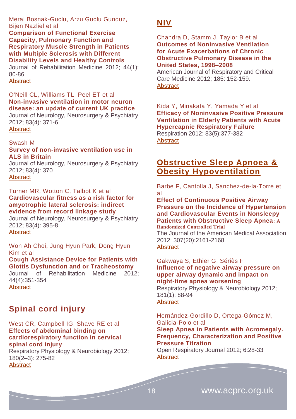Meral Bosnak-Guclu, Arzu Guclu Gunduz, Bijen Nazliel et al **Comparison of Functional [Exercise](http://www.medicaljournals.se/jrm/content/?volume=44&issue=1) Capacity, Pulmonary Function and Respiratory Muscle Strength in Patients with Multiple Sclerosis with Different Disability Levels and Healthy Controls** Journal of Rehabilitation Medicine 2012; 44(1): 80-86

**[Abstract](http://www.ncbi.nlm.nih.gov/pubmed/22234321)** 

O'Neill CL, Williams TL, Peel ET et al **Non-invasive ventilation in motor neuron disease: an update of current UK practice** Journal of Neurology, Neurosurgery & Psychiatry 2012; 83(4): 371-6

**[Abstract](http://jnnp.bmj.com/content/83/4/371.abstract)** 

#### Swash M

#### **Survey of non-invasive ventilation use in ALS in Britain**

Journal of Neurology, Neurosurgery & Psychiatry 2012; 83(4): 370 **[Abstract](http://jnnp.bmj.com/content/83/4/370.extract)** 

Turner MR, Wotton C, Talbot K et al **Cardiovascular fitness as a risk factor for amyotrophic lateral sclerosis: indirect evidence from record linkage study** Journal of Neurology, Neurosurgery & Psychiatry

2012; 83(4): 395-8 **[Abstract](http://jnnp.bmj.com/content/83/4/395.abstract)** 

Won Ah Choi, Jung Hyun Park, Dong Hyun Kim et al **Cough Assistance Device for Patients with** 

**Glottis Dysfunction and or Tracheostomy** Journal of Rehabilitation Medicine 2012;

44(4):351-354 **[Abstract](http://www.ncbi.nlm.nih.gov/sites/entrez?cmd=search&db=pubmed&term=10.2340/16501977-0948&dispmax=50)** 

### <span id="page-17-0"></span>**Spinal cord injury**

#### West CR, Campbell IG, Shave RE et al **Effects of abdominal binding on cardiorespiratory function in cervical spinal cord injury**

Respiratory Physiology & Neurobiology 2012; 180(2–3): 275-82 **[Abstract](http://ac.els-cdn.com/S1569904811004241/1-s2.0-S1569904811004241-main.pdf?_tid=d613decf6dcb2cd41687f8137aa86d2f&acdnat=1343212592_a03f40aa4fa253daba3137e013cf6889)** 

### <span id="page-17-1"></span>**NIV**

Chandra D, Stamm J, Taylor B et al **Outcomes of Noninvasive Ventilation for Acute Exacerbations of Chronic Obstructive Pulmonary Disease in the United States, 1998–2008**

American Journal of Respiratory and Critical Care Medicine 2012; 185: 152-159. **[Abstract](http://ajrccm.atsjournals.org/content/185/2/152.abstract)** 

Kida Y, Minakata Y, Yamada Y et al **Efficacy of Noninvasive Positive Pressure Ventilation in Elderly Patients with Acute Hypercapnic Respiratory Failure** Respiration 2012; 83(5):377-382 **[Abstract](http://content.karger.com/ProdukteDB/produkte.asp?Aktion=ShowAbstract&ArtikelNr=328399&Ausgabe=256953&ProduktNr=224278)** 

### <span id="page-17-2"></span>**Obstructive Sleep Apnoea & Obesity Hypoventilation**

Barbe F, Cantolla J, Sanchez-de-la-Torre et al

**Effect of [Continuous Positive Airway](http://jama.jamanetwork.com/article.aspx?articleid=1167316)  [Pressure on the Incidence of Hypertension](http://jama.jamanetwork.com/article.aspx?articleid=1167316)  [and Cardiovascular Events in Nonsleepy](http://jama.jamanetwork.com/article.aspx?articleid=1167316)  [Patients with Obstructive Sleep Apnea](http://jama.jamanetwork.com/article.aspx?articleid=1167316): A [Randomized Controlled Trial](http://jama.jamanetwork.com/article.aspx?articleid=1167316)**

The Journal of the American Medical Association 2012; 307(20):2161-2168 [Abstract](http://www.ncbi.nlm.nih.gov/pubmed?term=Effect%20of%20Continuous%20Positive%20Airway%20Pressure%20on%20the%20Incidence%20of%20Hypertension%20and%20Cardiovascular%20Events%20in%20Nonsleepy%20Patients%20With%20Obstructive%20Sleep%20Apnea%3A%20A%20Randomized%20Controlled%20Trial)

Gakwaya S, Ethier G, Sériès F **Influence of negative airway pressure on upper airway dynamic and impact on night-time apnea worsening**

Respiratory Physiology & Neurobiology 2012; 181(1): 88-94 **[Abstract](http://ac.els-cdn.com/S1569904812000389/1-s2.0-S1569904812000389-main.pdf?_tid=16fecbc05e21f3f331f3f55e1fb08a3e&acdnat=1343212806_a88540ed4a8c89f2892a441cc0990d03)** 

#### Hernández-Gordillo D, Ortega-Gómez M, Galicia-Polo et al

#### **Sleep Apnea in Patients with Acromegaly. Frequency, Characterization and Positive Pressure Titration**

Open Respiratory Journal 2012; 6:28-33 **[Abstract](http://www.ncbi.nlm.nih.gov/pubmed/22754597)**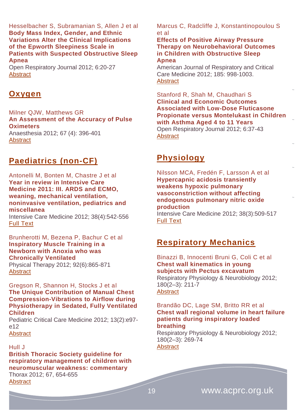<span id="page-18-1"></span>Hesselbacher S, Subramanian S, Allen J et al **Body Mass Index, Gender, and Ethnic Variations Alter the Clinical Implications of the Epworth Sleepiness Scale in Patients with Suspected Obstructive Sleep Apnea**

Open Respiratory Journal 2012; 6:20-27 **[Abstract](http://www.ncbi.nlm.nih.gov/pubmed/22670164)** 

### <span id="page-18-0"></span>**Oxygen**

Milner QJW, Matthews GR **An Assessment of the Accuracy of Pulse Oximeters** Anaesthesia 2012; 67 (4): 396-401 **[Abstract](http://www.ncbi.nlm.nih.gov/pubmed/22324874)** 

### **Paediatrics (non-CF)**

Antonelli M, Bonten M, Chastre J et al **[Year in review in Intensive Care](http://icmjournal.esicm.org/journal/134/38/4/2508_10.1007_s00134-012-2508-1/2012/Year_in_review_in_Intensive_Care_Medicine_2011_II.html)  [Medicine 2011: III. ARDS and ECMO,](http://icmjournal.esicm.org/journal/134/38/4/2508_10.1007_s00134-012-2508-1/2012/Year_in_review_in_Intensive_Care_Medicine_2011_II.html)  [weaning, mechanical ventilation,](http://icmjournal.esicm.org/journal/134/38/4/2508_10.1007_s00134-012-2508-1/2012/Year_in_review_in_Intensive_Care_Medicine_2011_II.html)  [noninvasive ventilation, pediatrics and](http://icmjournal.esicm.org/journal/134/38/4/2508_10.1007_s00134-012-2508-1/2012/Year_in_review_in_Intensive_Care_Medicine_2011_II.html)  [miscellanea](http://icmjournal.esicm.org/journal/134/38/4/2508_10.1007_s00134-012-2508-1/2012/Year_in_review_in_Intensive_Care_Medicine_2011_II.html)** Intensive Care Medicine 2012; 38(4):542-556

[Full Text](http://www.springerlink.com/content/c739u64616l8gn67/fulltext.html) Brunherotti M, Bezena P, Bachur C et al

**Inspiratory Muscle Training in a Newborn with Anoxia who was Chronically Ventilated** Physical Therapy 2012; 92(6):865-871

[Abstract](http://ptjournal.apta.org/content/92/6/865.abstract)

Gregson R, Shannon H, Stocks J et al **The Unique Contribution of Manual Chest Compression-Vibrations to Airflow during Physiotherapy in Sedated, Fully Ventilated Children**

Pediatric Critical Care Medicine 2012; 13(2):e97 e12

[Abstract](http://www.ncbi.nlm.nih.gov/pubmed/21666530)

#### Hull J

**British Thoracic Society guideline for respiratory management of children with neuromuscular weakness: commentary**

Thorax 2012; 67, 654-655 **[Abstract](http://thorax.bmj.com/content/67/7/654.abstract)** 

Marcus C, Radcliffe J, Konstantinopoulou S et al

**Effects of Positive Airway Pressure Therapy on Neurobehavioral Outcomes in Children with Obstructive Sleep Apnea**

American Journal of Respiratory and Critical Care Medicine 2012; 185: 998-1003. **[Abstract](http://ajrccm.atsjournals.org/content/185/9/998.abstract)** 

Stanford R, Shah M, Chaudhari S **Clinical and Economic Outcomes Associated with Low-Dose Fluticasone Propionate versus Montelukast in Children with Asthma Aged 4 to 11 Years** Open Respiratory Journal 2012; 6:37-43 **[Abstract](http://www.ncbi.nlm.nih.gov/pubmed/22787519)** 

 $\sim$ 

 $\sim$ 

 $\sim$ 

 $\sim$ 

 $\sim$ 

### <span id="page-18-2"></span>**Physiology**

Nilsson MCA, Fredén F, Larsson A et al **[Hypercapnic acidosis transiently](http://icmjournal.esicm.org/journal/134/38/3/2482_10.1007_s00134-012-2482-7/2012/Hypercapnic_acidosis_transiently_weakens_hypoxic_p.html)  [weakens hypoxic pulmonary](http://icmjournal.esicm.org/journal/134/38/3/2482_10.1007_s00134-012-2482-7/2012/Hypercapnic_acidosis_transiently_weakens_hypoxic_p.html)  [vasoconstriction without affecting](http://icmjournal.esicm.org/journal/134/38/3/2482_10.1007_s00134-012-2482-7/2012/Hypercapnic_acidosis_transiently_weakens_hypoxic_p.html)  [endogenous pulmonary nitric oxide](http://icmjournal.esicm.org/journal/134/38/3/2482_10.1007_s00134-012-2482-7/2012/Hypercapnic_acidosis_transiently_weakens_hypoxic_p.html)  [production](http://icmjournal.esicm.org/journal/134/38/3/2482_10.1007_s00134-012-2482-7/2012/Hypercapnic_acidosis_transiently_weakens_hypoxic_p.html)** Intensive Care Medicine 2012; 38(3):509-517

[Full Text](http://www.springerlink.com/content/k7v64106276p3413/fulltext.pdf)

### <span id="page-18-3"></span>**Respiratory Mechanics**

Binazzi B, Innocenti Bruni G, Coli C et al **Chest wall kinematics in young subjects with Pectus excavatum** Respiratory Physiology & Neurobiology 2012; 180(2–3): 211-7 **[Abstract](http://ac.els-cdn.com/S1569904811003971/1-s2.0-S1569904811003971-main.pdf?_tid=1c042dd17acaac17da6d4fafbb7f8041&acdnat=1343211005_5cf368bdb84588faff721c347ebc89c3)** 

#### <span id="page-18-4"></span>Brandão DC, Lage SM, Britto RR et al **Chest wall regional volume in heart failure patients during inspiratory loaded breathing**

Respiratory Physiology & Neurobiology 2012; 180(2–3): 269-74 **[Abstract](http://ac.els-cdn.com/S1569904811004095/1-s2.0-S1569904811004095-main.pdf?_tid=a254086af2510cc131a2fdd039665c8d&acdnat=1343211118_36ad492a6a8679573ffca7c9c7aec487)**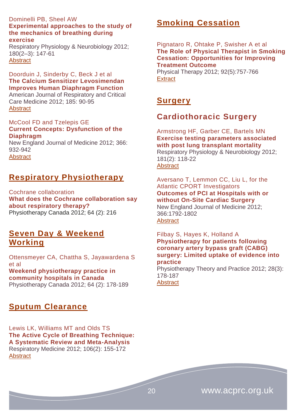#### Dominelli PB, Sheel AW

#### **Experimental approaches to the study of the mechanics of breathing during exercise**

Respiratory Physiology & Neurobiology 2012; 180(2–3): 147-61 **[Abstract](http://ac.els-cdn.com/S1569904811003557/1-s2.0-S1569904811003557-main.pdf?_tid=0801c2c7bafe3120a9006e5cbe3b54e6&acdnat=1343211334_81920d03e1f06e80c91f9c26398da1f7)** 

#### Doorduin J, Sinderby C, Beck J et al **The Calcium Sensitizer Levosimendan Improves Human Diaphragm Function**

American Journal of Respiratory and Critical Care Medicine 2012; 185: 90-95 **[Abstract](http://ajrccm.atsjournals.org/content/185/1/90.abstract)** 

McCool FD and Tzelepis GE **[Current Concepts: Dysfunction of the](http://www.nejm.org/doi/full/10.1056/NEJMra1007236)  [Diaphragm](http://www.nejm.org/doi/full/10.1056/NEJMra1007236)** New England Journal of Medicine 2012; 366: 932-942 **[Abstract](http://www.nejm.org/toc/nejm/366/10/)** 

### <span id="page-19-0"></span>**Respiratory Physiotherapy**

Cochrane collaboration **What does the Cochrane collaboration say about respiratory therapy?**  Physiotherapy Canada 2012; 64 (2): 216

### <span id="page-19-1"></span>**Seven Day & Weekend Working**

Ottensmeyer CA, Chattha S, Jayawardena S et al **Weekend physiotherapy practice in community hospitals in Canada** Physiotherapy Canada 2012; 64 (2): 178-189

### <span id="page-19-2"></span>**Sputum Clearance**

Lewis LK, Williams MT and Olds TS **The Active Cycle of Breathing Technique: A Systematic Review and Meta-Analysis** Respiratory Medicine 2012; 106(2): 155-172 **[Abstract](http://www.resmedjournal.com/article/S0954-6111(11)00378-7/abstract)** 

### <span id="page-19-3"></span>**Smoking Cessation**

Pignataro R, Ohtake P, Swisher A et al **The Role of Physical Therapist in Smoking Cessation: Opportunities for Improving Treatment Outcome** Physical Therapy 2012; 92(5):757-766

**[Extract](http://ptjournal.apta.org/content/92/5/757.extract)** 

### <span id="page-19-4"></span>**Surgery**

### <span id="page-19-5"></span>**Cardiothoracic Surgery**

Armstrong HF, Garber CE, Bartels MN **Exercise testing parameters associated with post lung transplant mortality** Respiratory Physiology & Neurobiology 2012; 181(2): 118-22 [Abstract](http://ac.els-cdn.com/S1569904812000432/1-s2.0-S1569904812000432-main.pdf?_tid=15bcf379c47f93b04ef7bac9c7c8afe3&acdnat=1343213228_21b9026ca7f85f58308ea752952294a8)

Aversano T, Lemmon CC, Liu L, for the Atlantic CPORT Investigators **Outcomes of PCI at Hospitals with or without On-Site Cardiac Surgery** 

New England Journal of Medicine 2012; 366:1792-1802 **[Abstract](http://www.nejm.org/toc/nejm/366/19/)** 

Filbay S, Hayes K, Holland A **Physiotherapy for patients following coronary artery bypass graft (CABG) surgery: Limited uptake of evidence into practice** 

[Physiotherapy Theory and Practice](http://www.ingentaconnect.com/content/apl/uptp) 2012; 28(3): 178-187 **[Abstract](http://www.ingentaconnect.com/content/apl/uptp/2012/00000028/00000003/art00002)** 

20 www.acprc.org.uk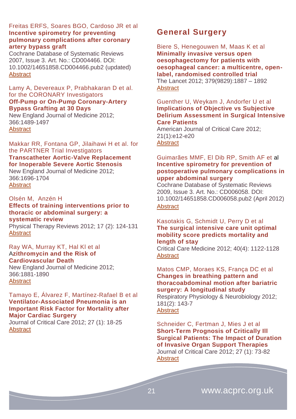#### Freitas ERFS, Soares BGO, Cardoso JR et al **Incentive spirometry for preventing pulmonary complications after coronary artery bypass graft**

Cochrane Database of Systematic Reviews 2007, Issue 3. Art. No.: CD004466. DOI: 10.1002/14651858.CD004466.pub2 (updated) **[Abstract](http://summaries.cochrane.org/CD004466/the-use-of-incentive-spirometry-for-preventing-pulmonary-complications-in-adults-people-undergoing-coronary-artery-bypass-graft-surgery)** 

#### Lamy A, Devereaux P, Prabhakaran D et al. for the CORONARY Investigators **Off-Pump or On-Pump Coronary-Artery Bypass Grafting at 30 Days**

New England Journal of Medicine 2012; 366:1489-1497 **[Abstract](http://www.nejm.org/toc/nejm/366/16/)** 

Makkar RR, Fontana GP, Jilaihawi H et al. for the PARTNER Trial Investigators **Transcatheter Aortic-Valve Replacement for Inoperable Severe Aortic Stenosis** 

New England Journal of Medicine 2012; 366:1696-1704 **[Abstract](http://www.nejm.org/toc/nejm/366/18/)** 

Olsén M, Anzén H

**Effects of training interventions prior to thoracic or abdominal surgery: a systematic review** Physical Therapy Reviews 2012; 17 (2): 124-131

**Abstract** 

#### Ray WA, Murray KT, Hal Kl et al A**zithromycin and the Risk of Cardiovascular Death**

New England Journal of Medicine 2012; 366:1881-1890 **[Abstract](http://www.nejm.org/toc/nejm/366/20/)** 

#### [Tamayo](http://www.jccjournal.org/article/S0883-9441(11)00155-9/abstract) E, [Álvarez](http://www.jccjournal.org/article/S0883-9441(11)00155-9/abstract) F, [Martínez-Rafael](http://www.jccjournal.org/article/S0883-9441(11)00155-9/abstract) B et al **Ventilator-Associated Pneumonia is an Important Risk Factor for Mortality after Major Cardiac Surgery**

Journal of Critical Care 2012; 27 (1): 18-25 [Abstract](http://www.jccjournal.org/article/S0883-9441(11)00155-9/abstract)

### <span id="page-20-0"></span>**General Surgery**

[Biere](http://www.thelancet.com/search/results?fieldName=Authors&searchTerm=Surya%20SAY+Biere) S, [Henegouwen](http://www.thelancet.com/search/results?fieldName=Authors&searchTerm=Mark%20I+van%20Berge%20Henegouwen) M, [Maas](http://www.thelancet.com/search/results?fieldName=Authors&searchTerm=Kirsten%20W+Maas) K et al **Minimally invasive versus open oesophagectomy for patients with oesophageal cancer: a multicentre, openlabel, randomised controlled trial** The Lancet 2012; [379\(9829\)](http://www.thelancet.com/journals/lancet/issue/vol379no9829/PIIS0140-6736(12)X6020-3):1887 – 1892 **[Abstract](http://www.thelancet.com/journals/lancet/article/PIIS0140-6736(12)60516-9/fulltext)** 

#### Guenther U, Weykam J, Andorfer U et al **Implications of Objective vs Subjective Delirium Assessment in Surgical Intensive Care Patients**

American Journal of Critical Care 2012; 21(1):e12-e20 [Abstract](http://ajcc.aacnjournals.org/content/21/1/e12.abstract)

#### Guimarães MMF, El Dib RP, Smith AF et al **Incentive spirometry for prevention of postoperative pulmonary complications in upper abdominal surgery**

Cochrane Database of Systematic Reviews 2009, Issue 3. Art. No.: CD006058. DOI: 10.1002/14651858.CD006058.pub2 (April 2012) **[Abstract](http://summaries.cochrane.org/CD006058/incentive-spirometry-is-for-prevention-of-postoperative-pulmonary-complications-after-upper-abdominal-surgery)** 

#### Kasotakis G, Schmidt U, Perry D et al **The surgical intensive care unit optimal mobility score predicts mortality and length of stay**

Critical Care Medicine 2012; 40(4): 1122-1128 **[Abstract](http://journals.lww.com/ccmjournal/Abstract/2012/04000/The_surgical_intensive_care_unit_optimal_mobility.10.aspx)** 

Matos CMP, Moraes KS, França DC et al **Changes in breathing pattern and thoracoabdominal motion after bariatric surgery: A longitudinal study** Respiratory Physiology & Neurobiology 2012; 181(2): 143-7 [Abstract](http://ac.els-cdn.com/S1569904812000572/1-s2.0-S1569904812000572-main.pdf?_tid=4b24d4c7057937b2fd3bbad3eec71bb2&acdnat=1343213647_611dd7271f04c53a9be5f92623edbd48)

Schneider C, Fertman J, Mies J et al **Short-Term Prognosis of Critically Ill Surgical Patients: The Impact of Duration of Invasive Organ Support Therapies**  Journal of Critical Care 2012; 27 (1): 73-82 **[Abstract](http://www.jccjournal.org/article/S0883-9441(11)00219-X/abstract)**